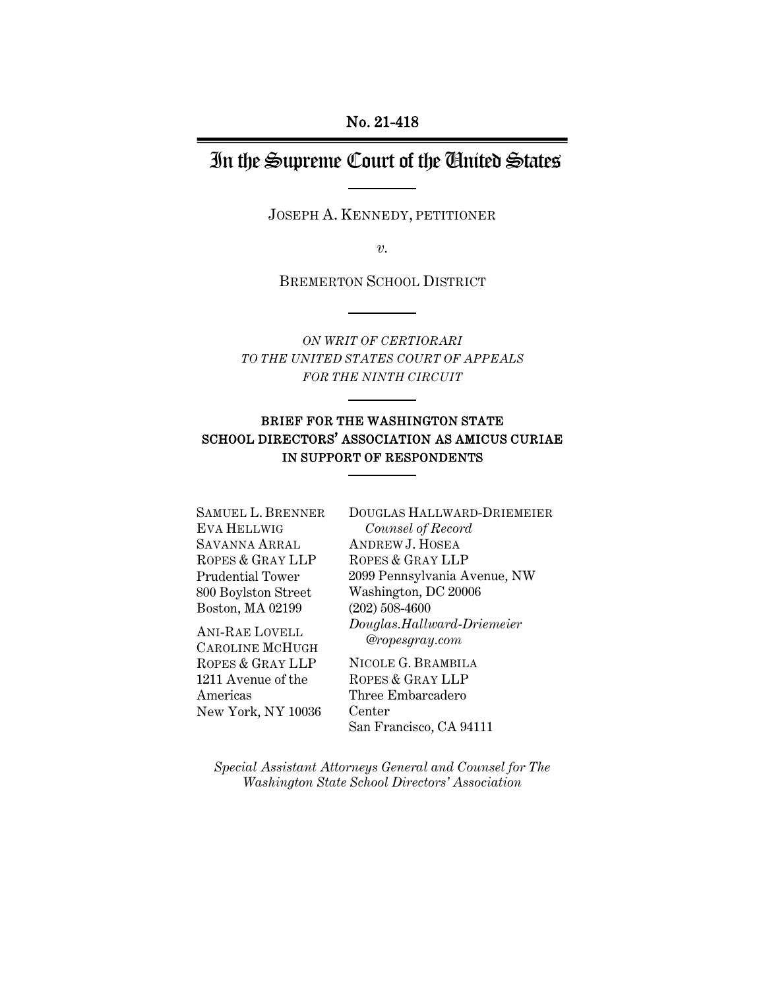#### No. 21-418

# In the Supreme Court of the United States

JOSEPH A. KENNEDY, PETITIONER

*v.* 

BREMERTON SCHOOL DISTRICT

*ON WRIT OF CERTIORARI TO THE UNITED STATES COURT OF APPEALS FOR THE NINTH CIRCUIT*

#### BRIEF FOR THE WASHINGTON STATE SCHOOL DIRECTORS' ASSOCIATION AS AMICUS CURIAE IN SUPPORT OF RESPONDENTS

SAMUEL L. BRENNER EVA HELLWIG SAVANNA ARRAL ROPES & GRAY LLP Prudential Tower 800 Boylston Street Boston, MA 02199

ANI-RAE LOVELL CAROLINE MCHUGH ROPES & GRAY LLP 1211 Avenue of the Americas New York, NY 10036 DOUGLAS HALLWARD-DRIEMEIER *Counsel of Record* ANDREW J. HOSEA ROPES & GRAY LLP 2099 Pennsylvania Avenue, NW Washington, DC 20006 (202) 508-4600 *Douglas.Hallward-Driemeier @ropesgray.com* 

NICOLE G. BRAMBILA ROPES & GRAY LLP Three Embarcadero Center San Francisco, CA 94111

*Special Assistant Attorneys General and Counsel for The Washington State School Directors' Association*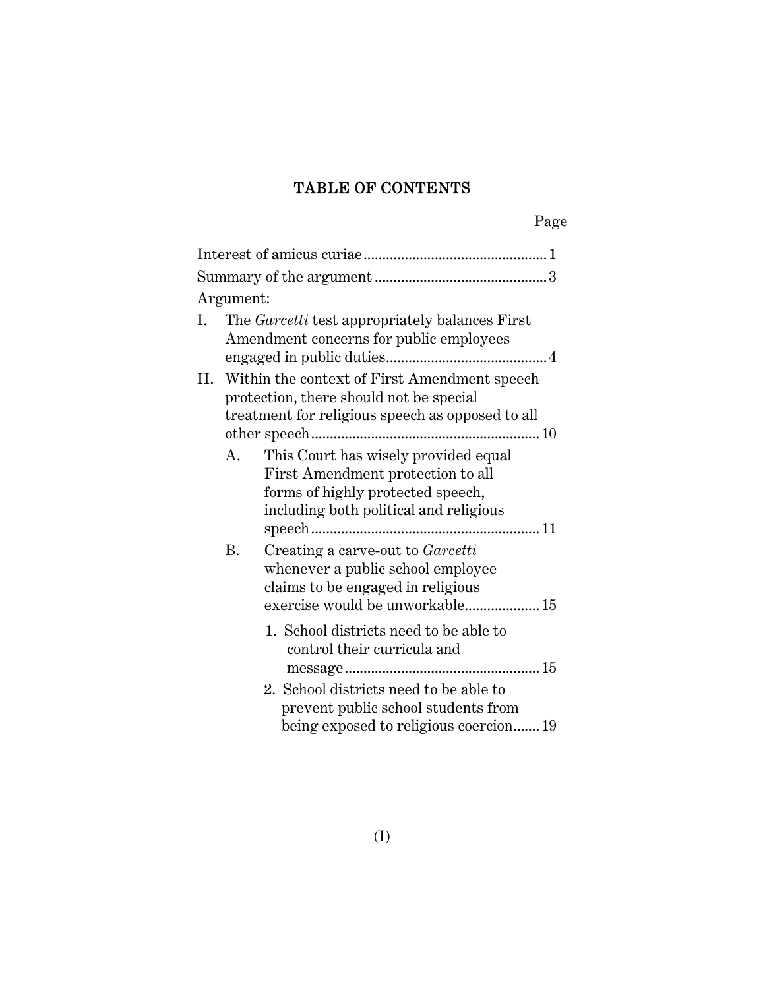## TABLE OF CONTENTS

| Argument:       |                                                                                                                                                                                                                                                                                                                                                                                                                                                          |
|-----------------|----------------------------------------------------------------------------------------------------------------------------------------------------------------------------------------------------------------------------------------------------------------------------------------------------------------------------------------------------------------------------------------------------------------------------------------------------------|
| L.              | The <i>Garcetti</i> test appropriately balances First<br>Amendment concerns for public employees                                                                                                                                                                                                                                                                                                                                                         |
| II.<br>A.<br>В. | Within the context of First Amendment speech<br>protection, there should not be special<br>treatment for religious speech as opposed to all<br>This Court has wisely provided equal<br>First Amendment protection to all<br>forms of highly protected speech,<br>including both political and religious<br>Creating a carve-out to Garcetti<br>whenever a public school employee<br>claims to be engaged in religious<br>exercise would be unworkable 15 |
|                 | 1. School districts need to be able to<br>control their curricula and<br>2. School districts need to be able to<br>prevent public school students from<br>being exposed to religious coercion19                                                                                                                                                                                                                                                          |

Page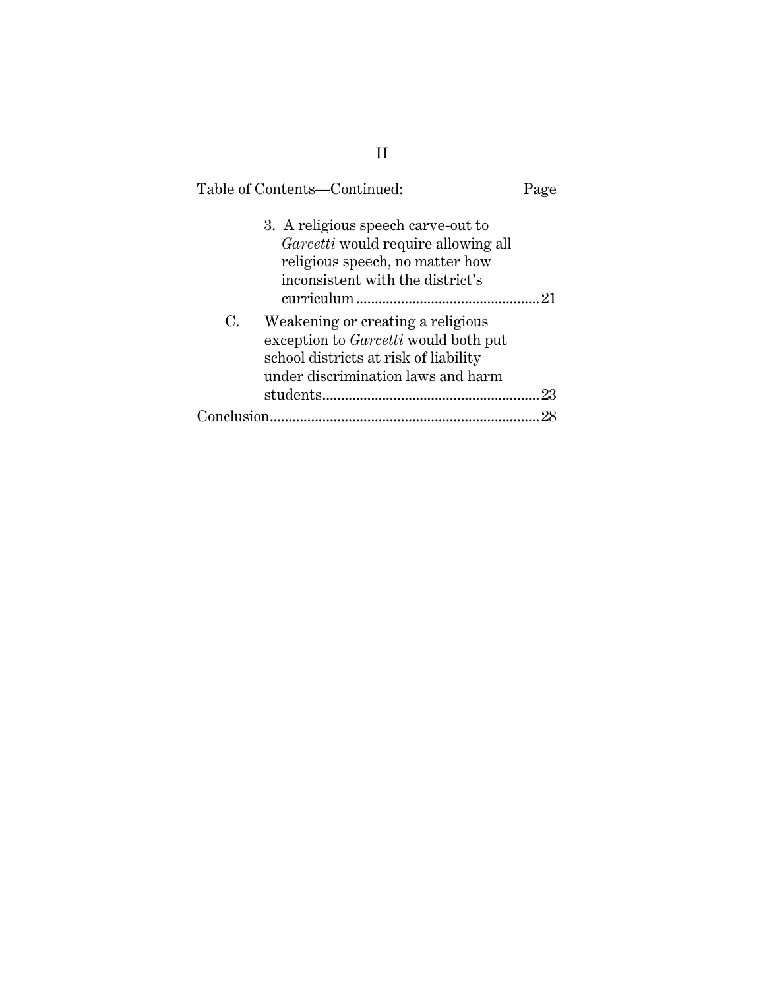| Table of Contents-Continued:                                                                                                                                          | Page |
|-----------------------------------------------------------------------------------------------------------------------------------------------------------------------|------|
| 3. A religious speech carve-out to<br><i>Garcetti</i> would require allowing all<br>religious speech, no matter how<br>inconsistent with the district's               | 21   |
| C.<br>Weakening or creating a religious<br>exception to <i>Garcetti</i> would both put<br>school districts at risk of liability<br>under discrimination laws and harm | 23   |
|                                                                                                                                                                       |      |
| Conclusion                                                                                                                                                            | 98   |
|                                                                                                                                                                       |      |

II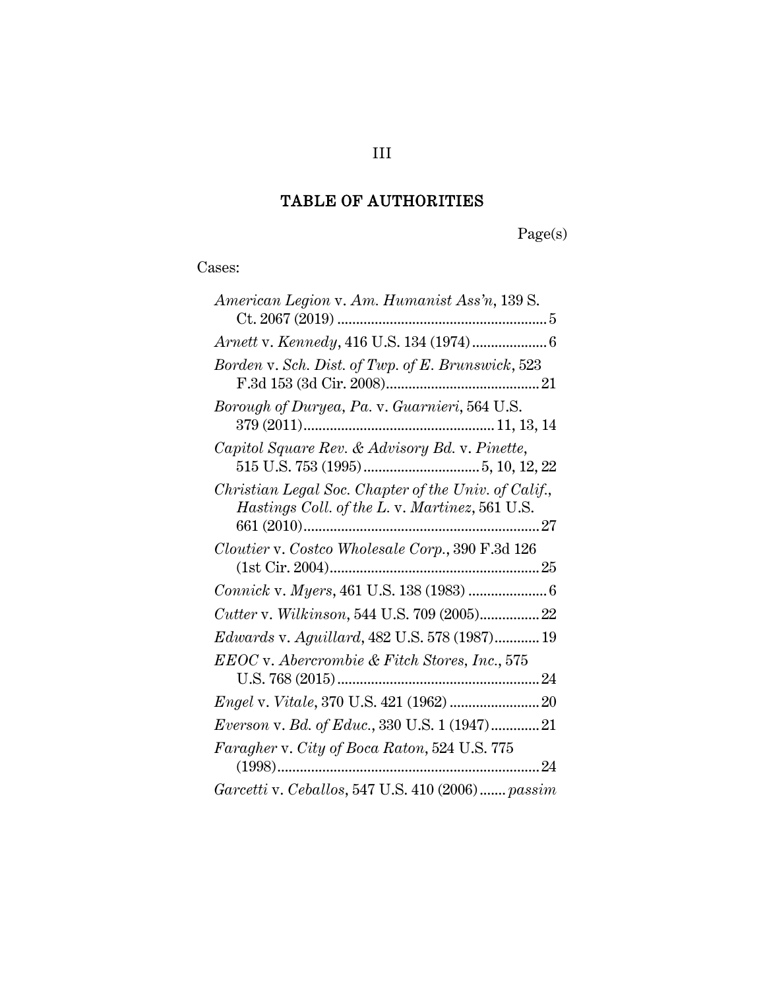## TABLE OF AUTHORITIES

Page(s)

Cases:

| American Legion v. Am. Humanist Ass'n, 139 S.                                                          |
|--------------------------------------------------------------------------------------------------------|
|                                                                                                        |
| Borden v. Sch. Dist. of Twp. of E. Brunswick, 523                                                      |
| Borough of Duryea, Pa. v. Guarnieri, 564 U.S.                                                          |
| Capitol Square Rev. & Advisory Bd. v. Pinette,                                                         |
| Christian Legal Soc. Chapter of the Univ. of Calif.,<br>Hastings Coll. of the L. v. Martinez, 561 U.S. |
| Cloutier v. Costco Wholesale Corp., 390 F.3d 126                                                       |
|                                                                                                        |
| Cutter v. Wilkinson, 544 U.S. 709 (2005)22                                                             |
| Edwards v. Aguillard, 482 U.S. 578 (1987) 19                                                           |
| EEOC v. Abercrombie & Fitch Stores, Inc., 575                                                          |
|                                                                                                        |
| Everson v. Bd. of Educ., 330 U.S. 1 (1947) 21                                                          |
| Faragher v. City of Boca Raton, 524 U.S. 775                                                           |
| Garcetti v. Ceballos, 547 U.S. 410 (2006) passim                                                       |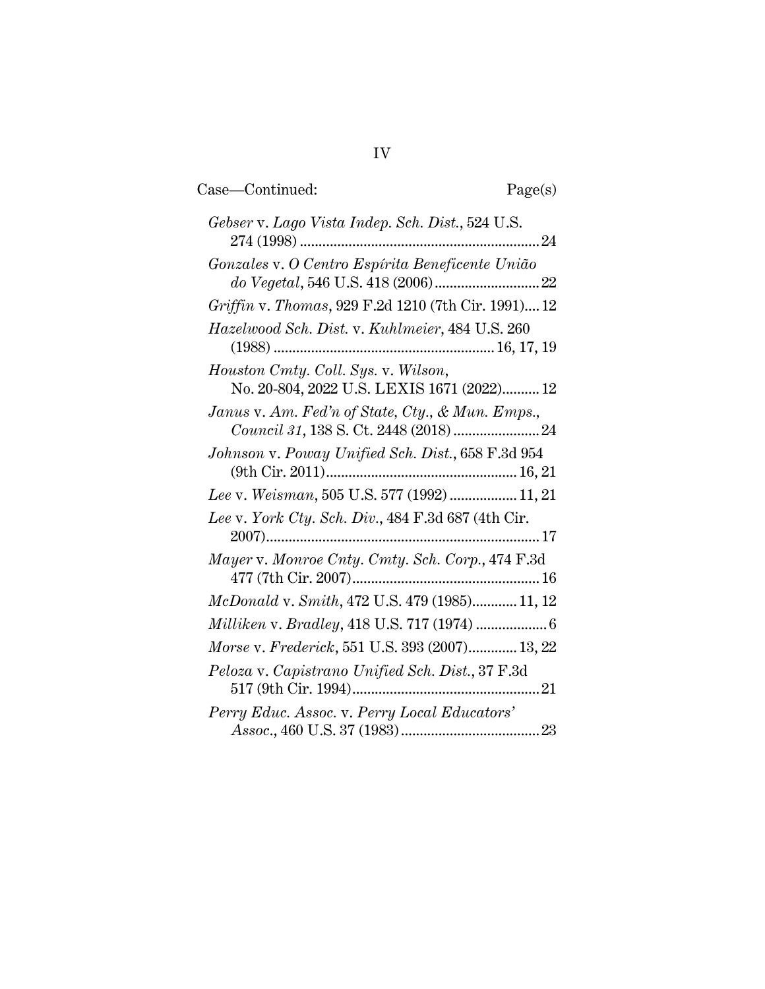| Gebser v. Lago Vista Indep. Sch. Dist., 524 U.S.                                                                                                                      |
|-----------------------------------------------------------------------------------------------------------------------------------------------------------------------|
| Gonzales v. O Centro Espírita Beneficente União<br>$do \; Vegetal, \, 546 \; U.S. \, 418 \, (2006) \,  \ldots \ldots \ldots \ldots \ldots \ldots \ldots \ldots \, 22$ |
| Griffin v. Thomas, 929 F.2d 1210 (7th Cir. 1991) 12                                                                                                                   |
| Hazelwood Sch. Dist. v. Kuhlmeier, 484 U.S. 260                                                                                                                       |
| Houston Cmty. Coll. Sys. v. Wilson,<br>No. 20-804, 2022 U.S. LEXIS 1671 (2022) 12                                                                                     |
| Janus v. Am. Fed'n of State, Cty., & Mun. Emps.,                                                                                                                      |
| Johnson v. Poway Unified Sch. Dist., 658 F.3d 954                                                                                                                     |
| Lee v. Weisman, 505 U.S. 577 (1992)  11, 21                                                                                                                           |
| Lee v. York Cty. Sch. Div., 484 F.3d 687 (4th Cir.                                                                                                                    |
| Mayer v. Monroe Cnty. Cmty. Sch. Corp., 474 F.3d                                                                                                                      |
| <i>McDonald v. Smith, 472 U.S. 479 (1985)</i> 11, 12                                                                                                                  |
|                                                                                                                                                                       |
| Morse v. Frederick, 551 U.S. 393 (2007) 13, 22                                                                                                                        |
| Peloza v. Capistrano Unified Sch. Dist., 37 F.3d                                                                                                                      |
| Perry Educ. Assoc. v. Perry Local Educators'                                                                                                                          |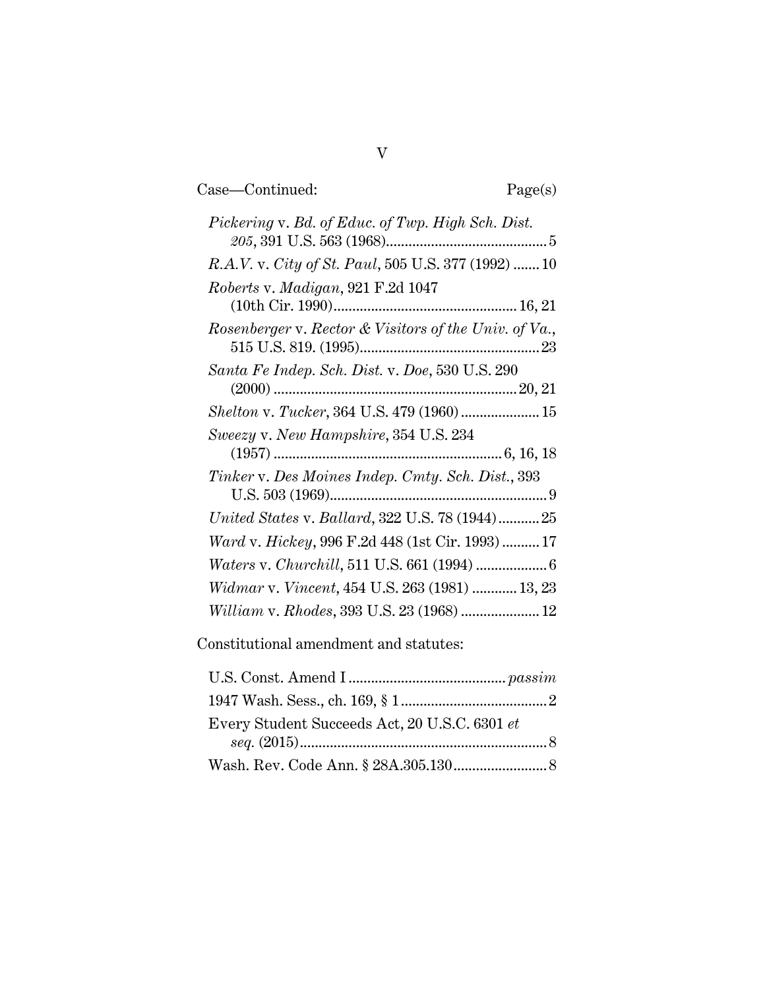Case—Continued: Page(s)

| Pickering v. Bd. of Educ. of Twp. High Sch. Dist.     |
|-------------------------------------------------------|
|                                                       |
| R.A.V. v. City of St. Paul, 505 U.S. 377 (1992)  10   |
| Roberts v. Madigan, 921 F.2d 1047                     |
|                                                       |
| Rosenberger v. Rector & Visitors of the Univ. of Va., |
| Santa Fe Indep. Sch. Dist. v. Doe, 530 U.S. 290       |
|                                                       |
|                                                       |
| Sweezy v. New Hampshire, 354 U.S. 234                 |
|                                                       |
| Tinker v. Des Moines Indep. Cmty. Sch. Dist., 393     |
|                                                       |
| United States v. Ballard, 322 U.S. 78 (1944)25        |
| Ward v. Hickey, 996 F.2d 448 (1st Cir. 1993)  17      |
|                                                       |
| Widmar v. Vincent, 454 U.S. 263 (1981)  13, 23        |
| William v. Rhodes, 393 U.S. 23 (1968)  12             |

Constitutional amendment and statutes:

| Every Student Succeeds Act, 20 U.S.C. 6301 et |  |
|-----------------------------------------------|--|
|                                               |  |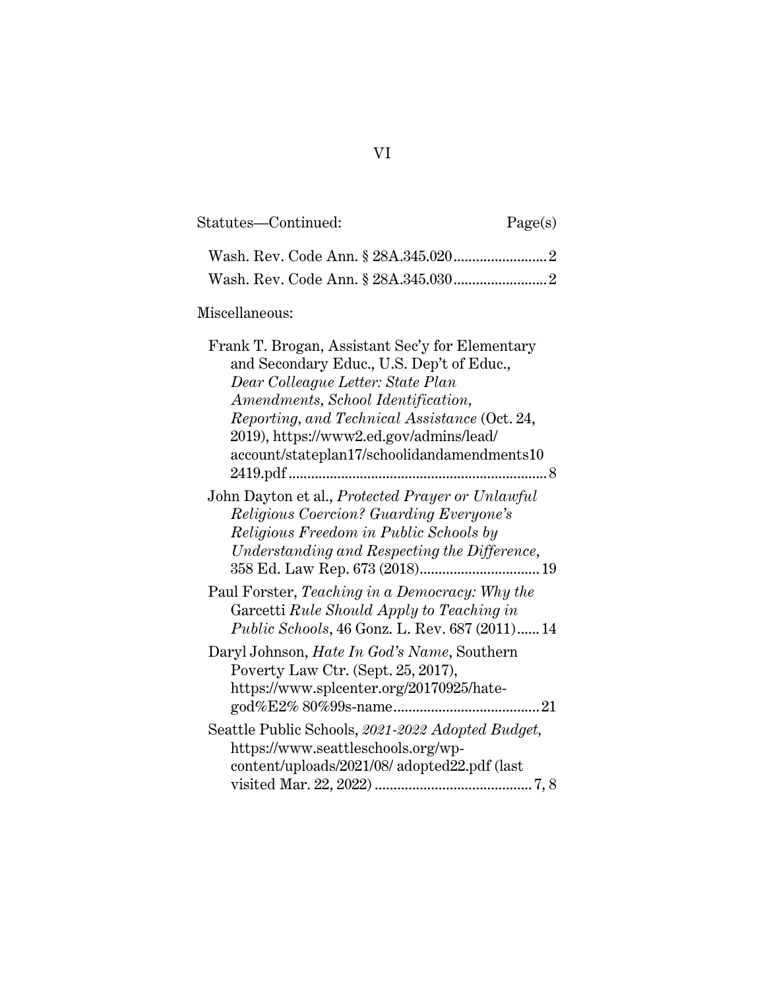| Statutes—Continued:                                                                                                                                                                                                                                                                                                | Page(s) |
|--------------------------------------------------------------------------------------------------------------------------------------------------------------------------------------------------------------------------------------------------------------------------------------------------------------------|---------|
|                                                                                                                                                                                                                                                                                                                    |         |
|                                                                                                                                                                                                                                                                                                                    |         |
| Miscellaneous:                                                                                                                                                                                                                                                                                                     |         |
| Frank T. Brogan, Assistant Sec'y for Elementary<br>and Secondary Educ., U.S. Dep't of Educ.,<br>Dear Colleague Letter: State Plan<br>Amendments, School Identification,<br>Reporting, and Technical Assistance (Oct. 24,<br>2019), https://www2.ed.gov/admins/lead/<br>account/stateplan17/schoolidandamendments10 | 8       |
| John Dayton et al., Protected Prayer or Unlawful<br><b>Religious Coercion? Guarding Everyone's</b><br>Religious Freedom in Public Schools by<br>Understanding and Respecting the Difference,<br>$358$ Ed. Law Rep. $673\ (2018)19$                                                                                 |         |
| Paul Forster, Teaching in a Democracy: Why the<br>Garcetti Rule Should Apply to Teaching in<br><i>Public Schools, 46 Gonz. L. Rev. 687 (2011)14</i>                                                                                                                                                                |         |
| Daryl Johnson, Hate In God's Name, Southern<br>Poverty Law Ctr. (Sept. 25, 2017),<br>https://www.splcenter.org/20170925/hate-                                                                                                                                                                                      |         |
| Seattle Public Schools, 2021-2022 Adopted Budget,<br>https://www.seattleschools.org/wp-<br>content/uploads/2021/08/ adopted22.pdf (last                                                                                                                                                                            |         |

|--|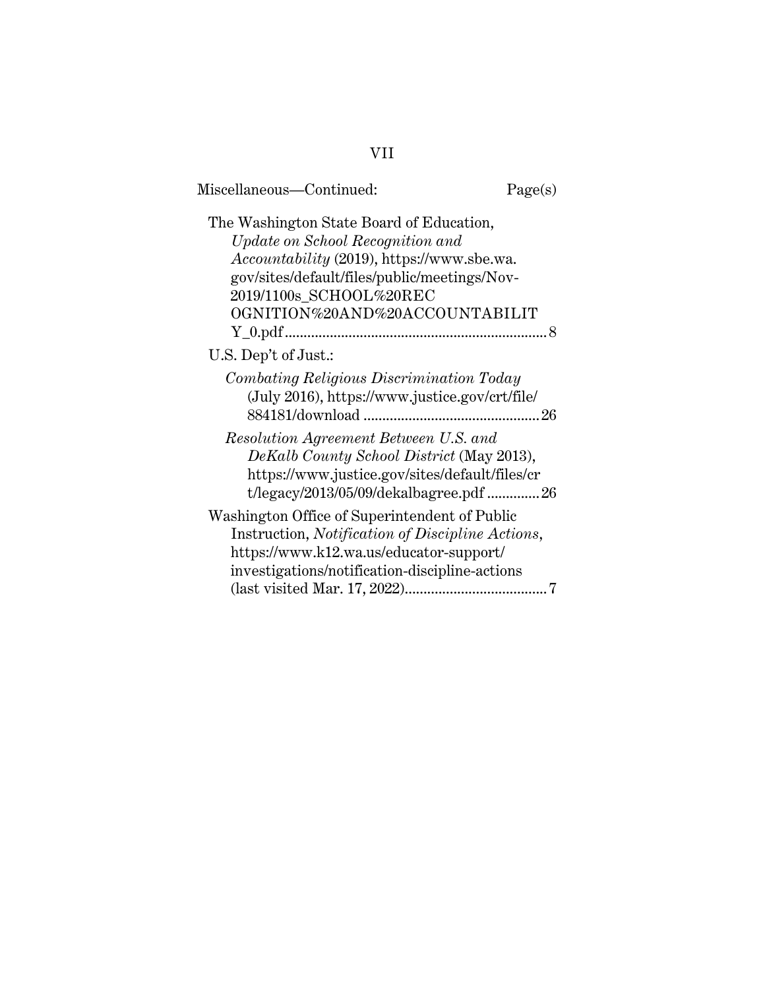| Miscellaneous-Continued:                                                                                                                                                                                                                       | Page(s) |
|------------------------------------------------------------------------------------------------------------------------------------------------------------------------------------------------------------------------------------------------|---------|
| The Washington State Board of Education,<br>Update on School Recognition and<br><i>Accountability</i> (2019), https://www.sbe.wa.<br>gov/sites/default/files/public/meetings/Nov-<br>2019/1100s_SCHOOL%20REC<br>OGNITION%20AND%20ACCOUNTABILIT |         |
| U.S. Dep't of Just.:                                                                                                                                                                                                                           |         |
| Combating Religious Discrimination Today<br>(July 2016), https://www.justice.gov/crt/file/                                                                                                                                                     | 26      |
| Resolution Agreement Between U.S. and<br>DeKalb County School District (May 2013),<br>https://www.justice.gov/sites/default/files/cr<br>t/legacy/2013/05/09/dekalbagree.pdf 26                                                                 |         |
| Washington Office of Superintendent of Public<br>Instruction, Notification of Discipline Actions,<br>https://www.k12.wa.us/educator-support/<br>investigations/notification-discipline-actions                                                 |         |
|                                                                                                                                                                                                                                                |         |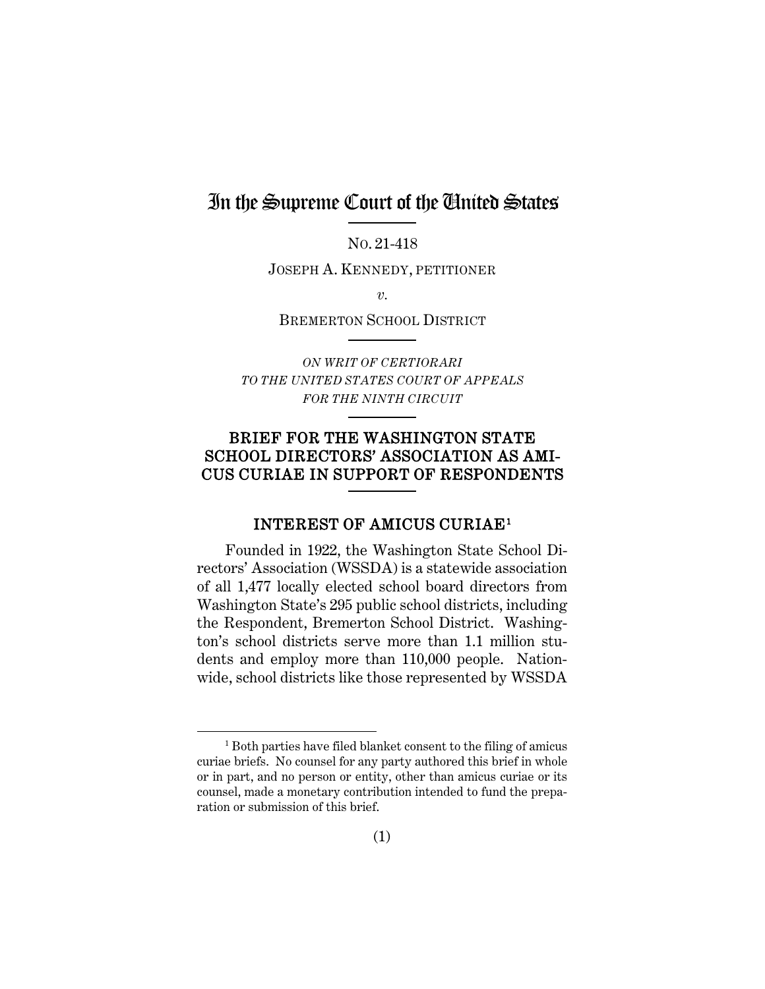# In the Supreme Court of the United States

NO. 21-418

JOSEPH A. KENNEDY, PETITIONER

*v.* 

BREMERTON SCHOOL DISTRICT

*ON WRIT OF CERTIORARI TO THE UNITED STATES COURT OF APPEALS FOR THE NINTH CIRCUIT*

## BRIEF FOR THE WASHINGTON STATE SCHOOL DIRECTORS' ASSOCIATION AS AMI-CUS CURIAE IN SUPPORT OF RESPONDENTS

#### INTEREST OF AMICUS CURIAE[1](#page-8-1)

<span id="page-8-0"></span>Founded in 1922, the Washington State School Directors' Association (WSSDA) is a statewide association of all 1,477 locally elected school board directors from Washington State's 295 public school districts, including the Respondent, Bremerton School District. Washington's school districts serve more than 1.1 million students and employ more than 110,000 people. Nationwide, school districts like those represented by WSSDA

<span id="page-8-1"></span><sup>1</sup> Both parties have filed blanket consent to the filing of amicus curiae briefs. No counsel for any party authored this brief in whole or in part, and no person or entity, other than amicus curiae or its counsel, made a monetary contribution intended to fund the preparation or submission of this brief.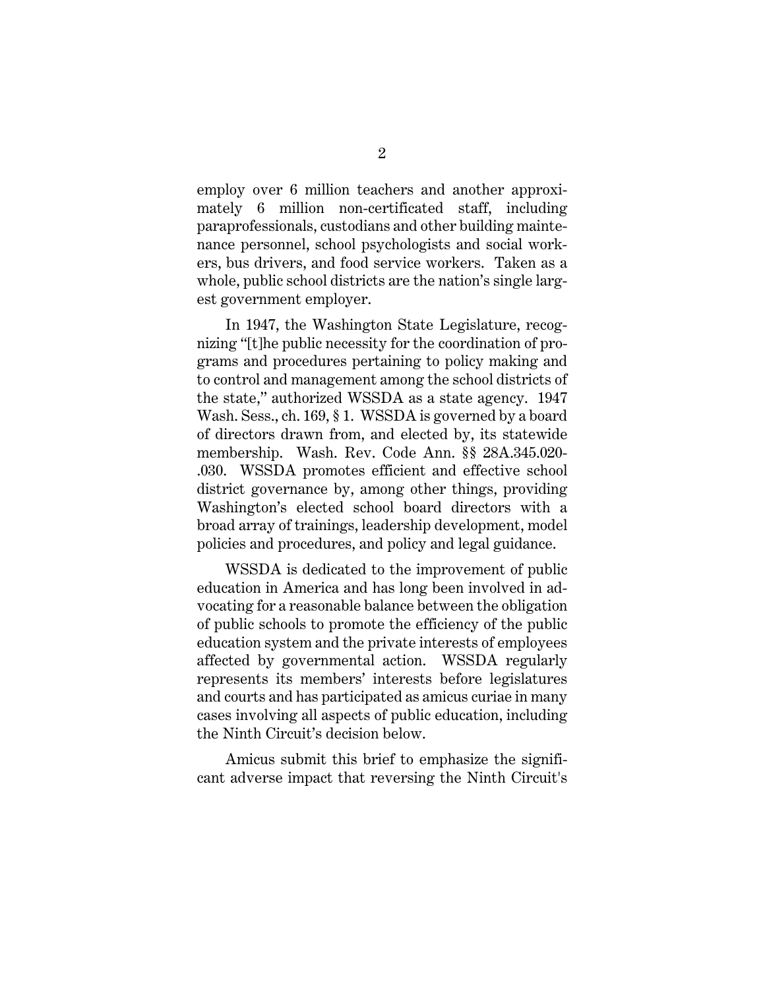employ over 6 million teachers and another approximately 6 million non-certificated staff, including paraprofessionals, custodians and other building maintenance personnel, school psychologists and social workers, bus drivers, and food service workers. Taken as a whole, public school districts are the nation's single largest government employer.

<span id="page-9-0"></span>In 1947, the Washington State Legislature, recognizing "[t]he public necessity for the coordination of programs and procedures pertaining to policy making and to control and management among the school districts of the state," authorized WSSDA as a state agency. 1947 Wash. Sess., ch. 169, § 1. WSSDA is governed by a board of directors drawn from, and elected by, its statewide membership. Wash. Rev. Code Ann. §§ 28A.345.020- .030. WSSDA promotes efficient and effective school district governance by, among other things, providing Washington's elected school board directors with a broad array of trainings, leadership development, model policies and procedures, and policy and legal guidance.

WSSDA is dedicated to the improvement of public education in America and has long been involved in advocating for a reasonable balance between the obligation of public schools to promote the efficiency of the public education system and the private interests of employees affected by governmental action. WSSDA regularly represents its members' interests before legislatures and courts and has participated as amicus curiae in many cases involving all aspects of public education, including the Ninth Circuit's decision below.

Amicus submit this brief to emphasize the significant adverse impact that reversing the Ninth Circuit's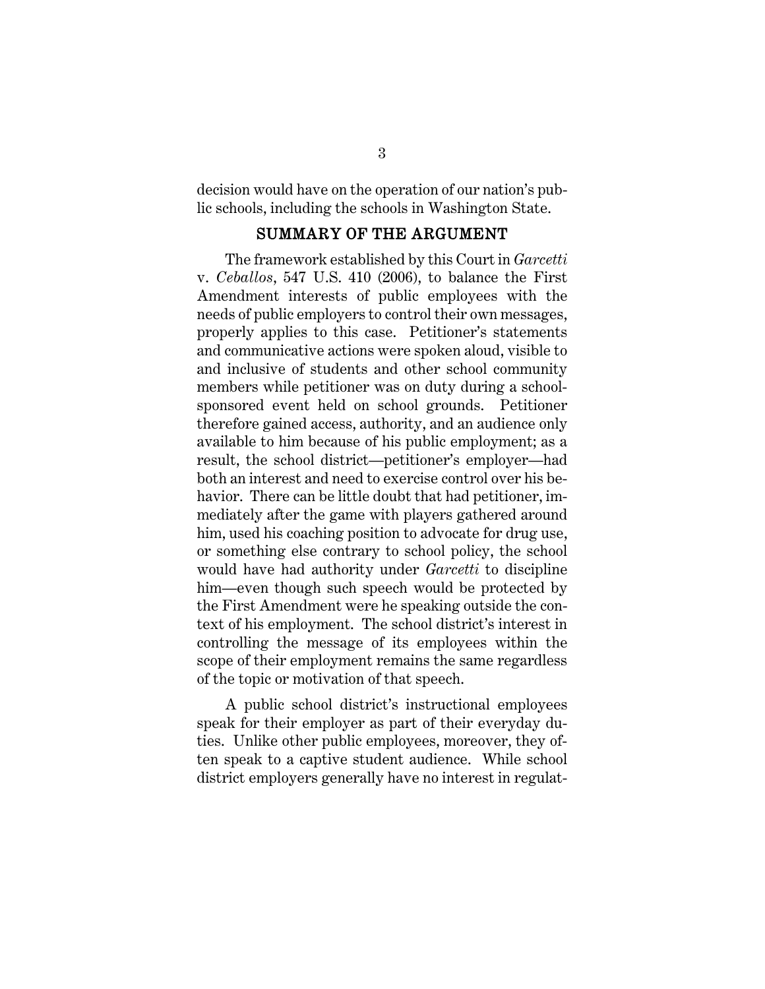decision would have on the operation of our nation's public schools, including the schools in Washington State.

#### <span id="page-10-2"></span><span id="page-10-1"></span>SUMMARY OF THE ARGUMENT

<span id="page-10-0"></span>The framework established by this Court in *Garcetti*  v. *Ceballos*, 547 U.S. 410 (2006), to balance the First Amendment interests of public employees with the needs of public employers to control their own messages, properly applies to this case. Petitioner's statements and communicative actions were spoken aloud, visible to and inclusive of students and other school community members while petitioner was on duty during a schoolsponsored event held on school grounds. Petitioner therefore gained access, authority, and an audience only available to him because of his public employment; as a result, the school district—petitioner's employer—had both an interest and need to exercise control over his behavior. There can be little doubt that had petitioner, immediately after the game with players gathered around him, used his coaching position to advocate for drug use, or something else contrary to school policy, the school would have had authority under *Garcetti* to discipline him—even though such speech would be protected by the First Amendment were he speaking outside the context of his employment. The school district's interest in controlling the message of its employees within the scope of their employment remains the same regardless of the topic or motivation of that speech.

A public school district's instructional employees speak for their employer as part of their everyday duties. Unlike other public employees, moreover, they often speak to a captive student audience. While school district employers generally have no interest in regulat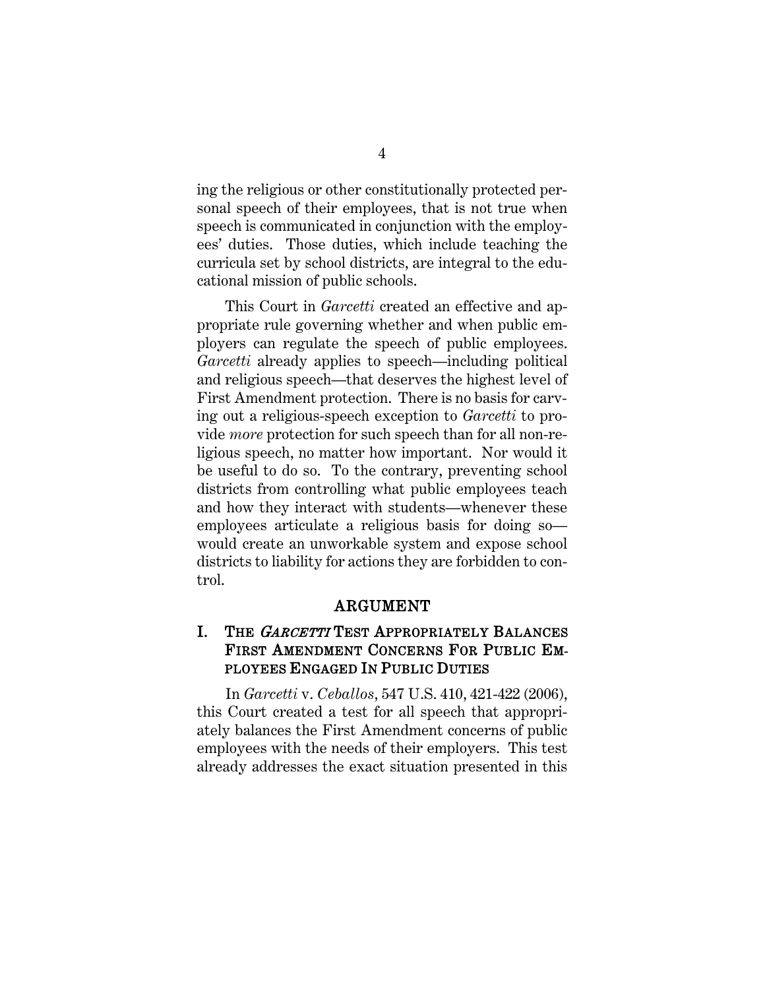ing the religious or other constitutionally protected personal speech of their employees, that is not true when speech is communicated in conjunction with the employees' duties. Those duties, which include teaching the curricula set by school districts, are integral to the educational mission of public schools.

This Court in *Garcetti* created an effective and appropriate rule governing whether and when public employers can regulate the speech of public employees. *Garcetti* already applies to speech—including political and religious speech—that deserves the highest level of First Amendment protection. There is no basis for carving out a religious-speech exception to *Garcetti* to provide *more* protection for such speech than for all non-religious speech, no matter how important. Nor would it be useful to do so. To the contrary, preventing school districts from controlling what public employees teach and how they interact with students—whenever these employees articulate a religious basis for doing so would create an unworkable system and expose school districts to liability for actions they are forbidden to control.

#### ARGUMENT

## <span id="page-11-1"></span><span id="page-11-0"></span>I. THE *GARCETTI* TEST APPROPRIATELY BALANCES FIRST AMENDMENT CONCERNS FOR PUBLIC EM-PLOYEES ENGAGED IN PUBLIC DUTIES

In *Garcetti* v. *Ceballos*, 547 U.S. 410, 421-422 (2006), this Court created a test for all speech that appropriately balances the First Amendment concerns of public employees with the needs of their employers. This test already addresses the exact situation presented in this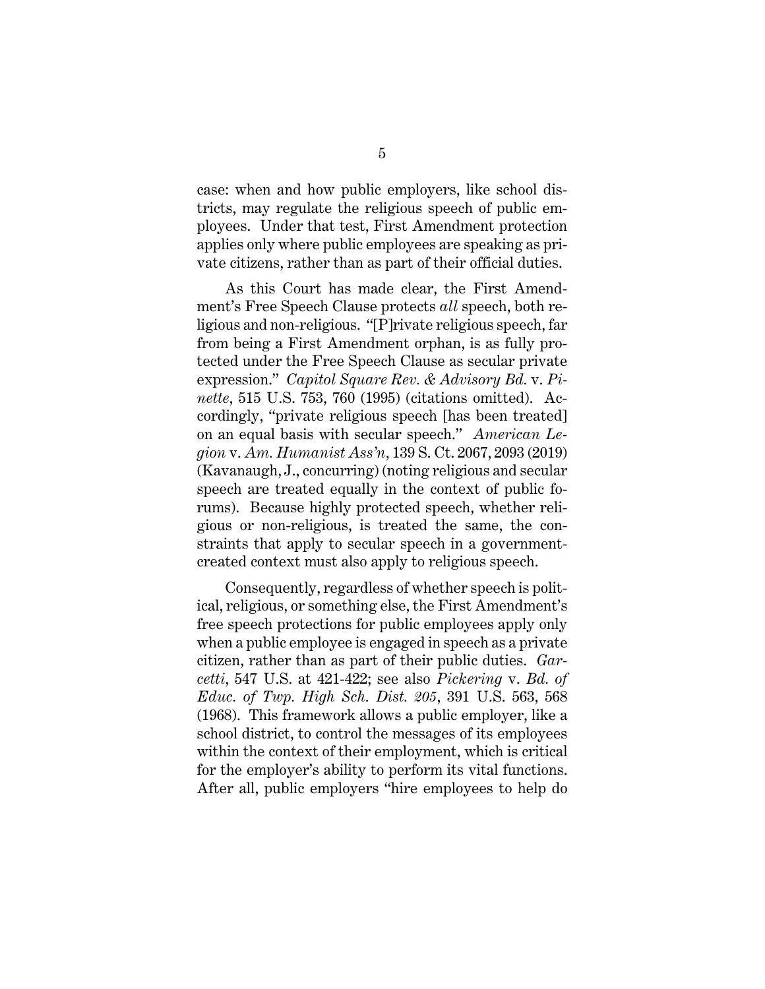case: when and how public employers, like school districts, may regulate the religious speech of public employees. Under that test, First Amendment protection applies only where public employees are speaking as private citizens, rather than as part of their official duties.

<span id="page-12-1"></span><span id="page-12-0"></span>As this Court has made clear, the First Amendment's Free Speech Clause protects *all* speech, both religious and non-religious. "[P]rivate religious speech, far from being a First Amendment orphan, is as fully protected under the Free Speech Clause as secular private expression." *Capitol Square Rev. & Advisory Bd.* v. *Pinette*, 515 U.S. 753, 760 (1995) (citations omitted). Accordingly, "private religious speech [has been treated] on an equal basis with secular speech." *American Legion* v. *Am. Humanist Ass'n*, 139 S. Ct. 2067, 2093 (2019) (Kavanaugh, J., concurring) (noting religious and secular speech are treated equally in the context of public forums). Because highly protected speech, whether religious or non-religious, is treated the same, the constraints that apply to secular speech in a governmentcreated context must also apply to religious speech.

<span id="page-12-2"></span>Consequently, regardless of whether speech is political, religious, or something else, the First Amendment's free speech protections for public employees apply only when a public employee is engaged in speech as a private citizen, rather than as part of their public duties. *Garcetti*, 547 U.S. at 421-422; see also *Pickering* v. *Bd. of Educ. of Twp. High Sch. Dist. 205*, 391 U.S. 563, 568 (1968). This framework allows a public employer, like a school district, to control the messages of its employees within the context of their employment, which is critical for the employer's ability to perform its vital functions. After all, public employers "hire employees to help do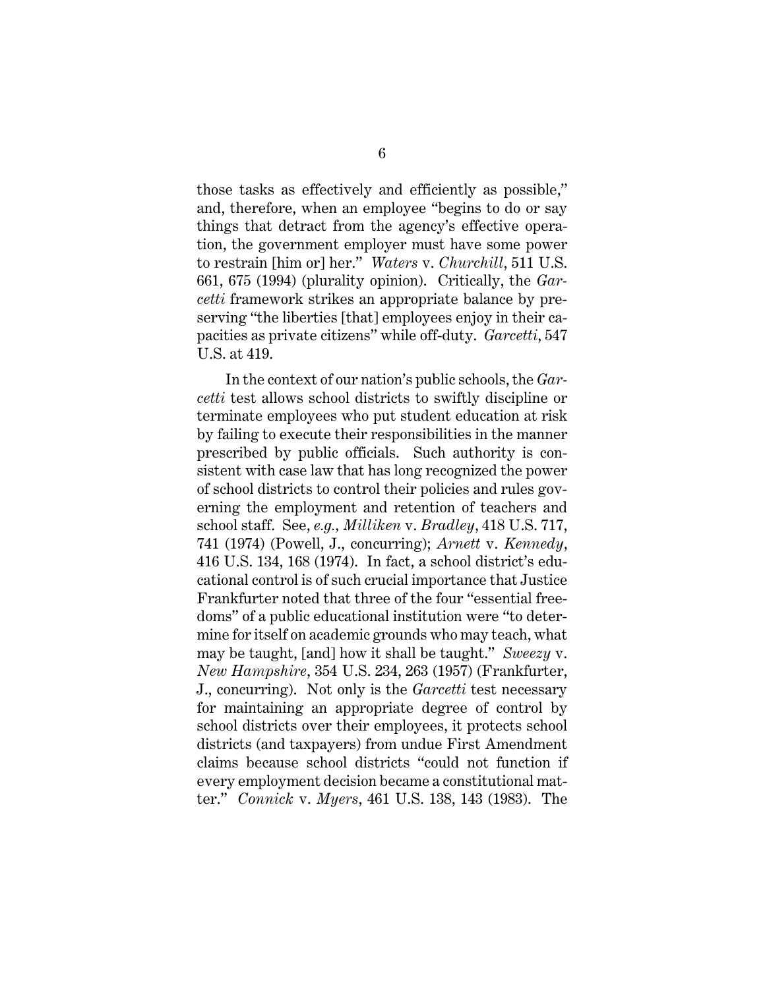<span id="page-13-4"></span>those tasks as effectively and efficiently as possible," and, therefore, when an employee "begins to do or say things that detract from the agency's effective operation, the government employer must have some power to restrain [him or] her." *Waters* v. *Churchill*, 511 U.S. 661, 675 (1994) (plurality opinion). Critically, the *Garcetti* framework strikes an appropriate balance by preserving "the liberties [that] employees enjoy in their capacities as private citizens" while off-duty. *Garcetti*, 547 U.S. at 419.

<span id="page-13-3"></span><span id="page-13-2"></span><span id="page-13-1"></span><span id="page-13-0"></span>In the context of our nation's public schools, the *Garcetti* test allows school districts to swiftly discipline or terminate employees who put student education at risk by failing to execute their responsibilities in the manner prescribed by public officials. Such authority is consistent with case law that has long recognized the power of school districts to control their policies and rules governing the employment and retention of teachers and school staff. See, *e.g., Milliken* v. *Bradley*, 418 U.S. 717, 741 (1974) (Powell, J., concurring); *Arnett* v. *Kennedy*, 416 U.S. 134, 168 (1974). In fact, a school district's educational control is of such crucial importance that Justice Frankfurter noted that three of the four "essential freedoms" of a public educational institution were "to determine for itself on academic grounds who may teach, what may be taught, [and] how it shall be taught." *Sweezy* v. *New Hampshire*, 354 U.S. 234, 263 (1957) (Frankfurter, J., concurring). Not only is the *Garcetti* test necessary for maintaining an appropriate degree of control by school districts over their employees, it protects school districts (and taxpayers) from undue First Amendment claims because school districts "could not function if every employment decision became a constitutional matter." *Connick* v. *Myers*, 461 U.S. 138, 143 (1983). The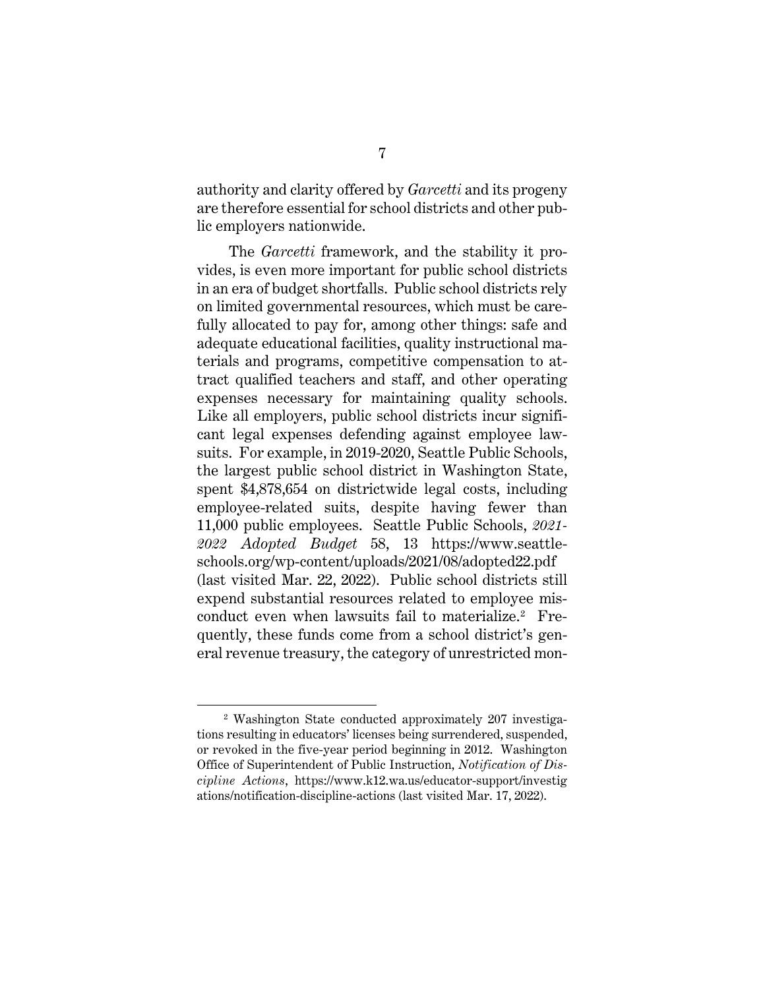authority and clarity offered by *Garcetti* and its progeny are therefore essential for school districts and other public employers nationwide.

 The *Garcetti* framework, and the stability it provides, is even more important for public school districts in an era of budget shortfalls. Public school districts rely on limited governmental resources, which must be carefully allocated to pay for, among other things: safe and adequate educational facilities, quality instructional materials and programs, competitive compensation to attract qualified teachers and staff, and other operating expenses necessary for maintaining quality schools. Like all employers, public school districts incur significant legal expenses defending against employee lawsuits. For example, in 2019-2020, Seattle Public Schools, the largest public school district in Washington State, spent \$4,878,654 on districtwide legal costs, including employee-related suits, despite having fewer than 11,000 public employees. Seattle Public Schools, *2021- 2022 Adopted Budget* 58, 13 https://www.seattleschools.org/wp-content/uploads/2021/08/adopted22.pdf (last visited Mar. 22, 2022). Public school districts still expend substantial resources related to employee mis-conduct even when lawsuits fail to materialize.<sup>[2](#page-14-2)</sup> Frequently, these funds come from a school district's general revenue treasury, the category of unrestricted mon-

<span id="page-14-2"></span><span id="page-14-1"></span><span id="page-14-0"></span><sup>2</sup> Washington State conducted approximately 207 investigations resulting in educators' licenses being surrendered, suspended, or revoked in the five-year period beginning in 2012. Washington Office of Superintendent of Public Instruction, *Notification of Discipline Actions*, https://www.k12.wa.us/educator-support/investig ations/notification-discipline-actions (last visited Mar. 17, 2022).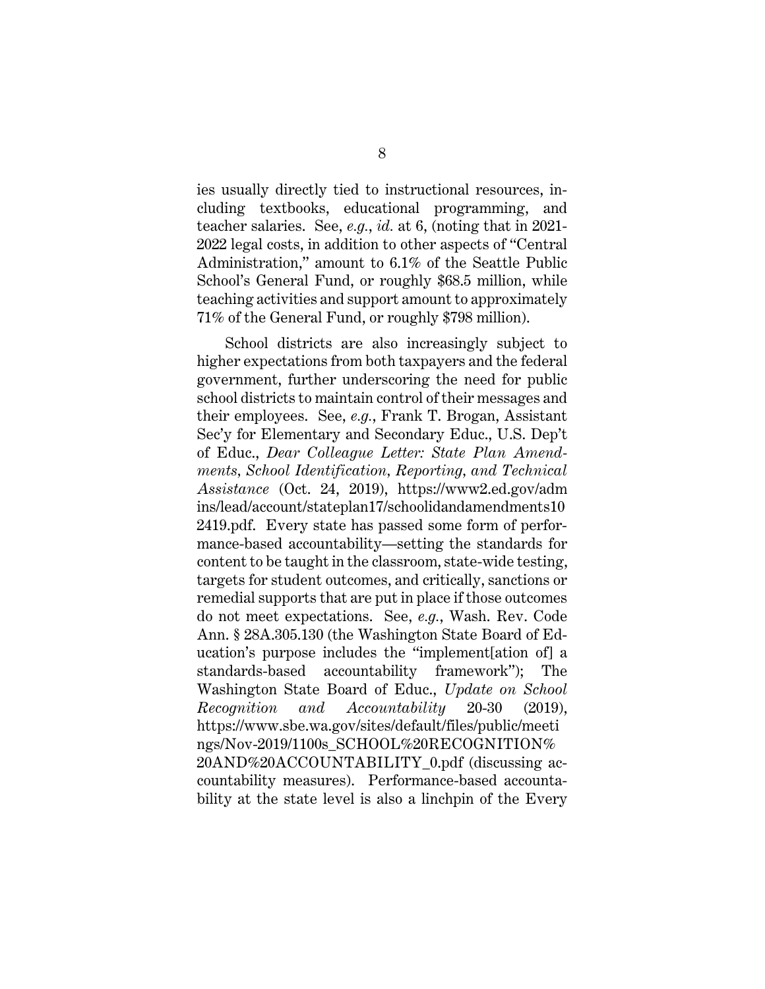<span id="page-15-3"></span>ies usually directly tied to instructional resources, including textbooks, educational programming, and teacher salaries. See, *e.g.*, *id.* at 6, (noting that in 2021- 2022 legal costs, in addition to other aspects of "Central Administration," amount to 6.1% of the Seattle Public School's General Fund, or roughly \$68.5 million, while teaching activities and support amount to approximately 71% of the General Fund, or roughly \$798 million).

<span id="page-15-4"></span><span id="page-15-2"></span><span id="page-15-1"></span><span id="page-15-0"></span>School districts are also increasingly subject to higher expectations from both taxpayers and the federal government, further underscoring the need for public school districts to maintain control of their messages and their employees. See, *e.g.*, Frank T. Brogan, Assistant Sec'y for Elementary and Secondary Educ., U.S. Dep't of Educ., *Dear Colleague Letter: State Plan Amendments, School Identification, Reporting, and Technical Assistance* (Oct. 24, 2019), https://www2.ed.gov/adm ins/lead/account/stateplan17/schoolidandamendments10 2419.pdf. Every state has passed some form of performance-based accountability—setting the standards for content to be taught in the classroom, state-wide testing, targets for student outcomes, and critically, sanctions or remedial supports that are put in place if those outcomes do not meet expectations. See, *e.g.*, Wash. Rev. Code Ann. § 28A.305.130 (the Washington State Board of Education's purpose includes the "implement[ation of] a standards-based accountability framework"); The Washington State Board of Educ., *Update on School Recognition and Accountability* 20-30 (2019), https://www.sbe.wa.gov/sites/default/files/public/meeti ngs/Nov-2019/1100s\_SCHOOL%20RECOGNITION% 20AND%20ACCOUNTABILITY\_0.pdf (discussing accountability measures). Performance-based accountability at the state level is also a linchpin of the Every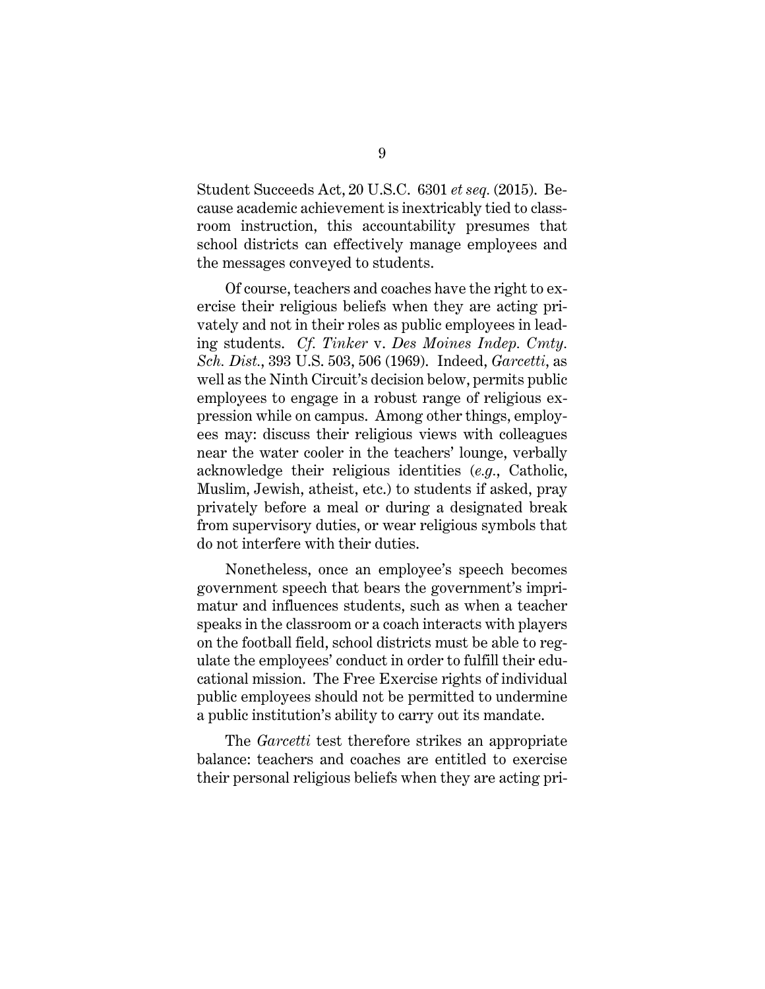Student Succeeds Act, 20 U.S.C. 6301 *et seq.* (2015). Because academic achievement is inextricably tied to classroom instruction, this accountability presumes that school districts can effectively manage employees and the messages conveyed to students.

<span id="page-16-0"></span>Of course, teachers and coaches have the right to exercise their religious beliefs when they are acting privately and not in their roles as public employees in leading students. *Cf. Tinker* v. *Des Moines Indep. Cmty. Sch. Dist.*, 393 U.S. 503, 506 (1969). Indeed, *Garcetti*, as well as the Ninth Circuit's decision below, permits public employees to engage in a robust range of religious expression while on campus. Among other things, employees may: discuss their religious views with colleagues near the water cooler in the teachers' lounge, verbally acknowledge their religious identities (*e.g.*, Catholic, Muslim, Jewish, atheist, etc.) to students if asked, pray privately before a meal or during a designated break from supervisory duties, or wear religious symbols that do not interfere with their duties.

Nonetheless, once an employee's speech becomes government speech that bears the government's imprimatur and influences students, such as when a teacher speaks in the classroom or a coach interacts with players on the football field, school districts must be able to regulate the employees' conduct in order to fulfill their educational mission. The Free Exercise rights of individual public employees should not be permitted to undermine a public institution's ability to carry out its mandate.

The *Garcetti* test therefore strikes an appropriate balance: teachers and coaches are entitled to exercise their personal religious beliefs when they are acting pri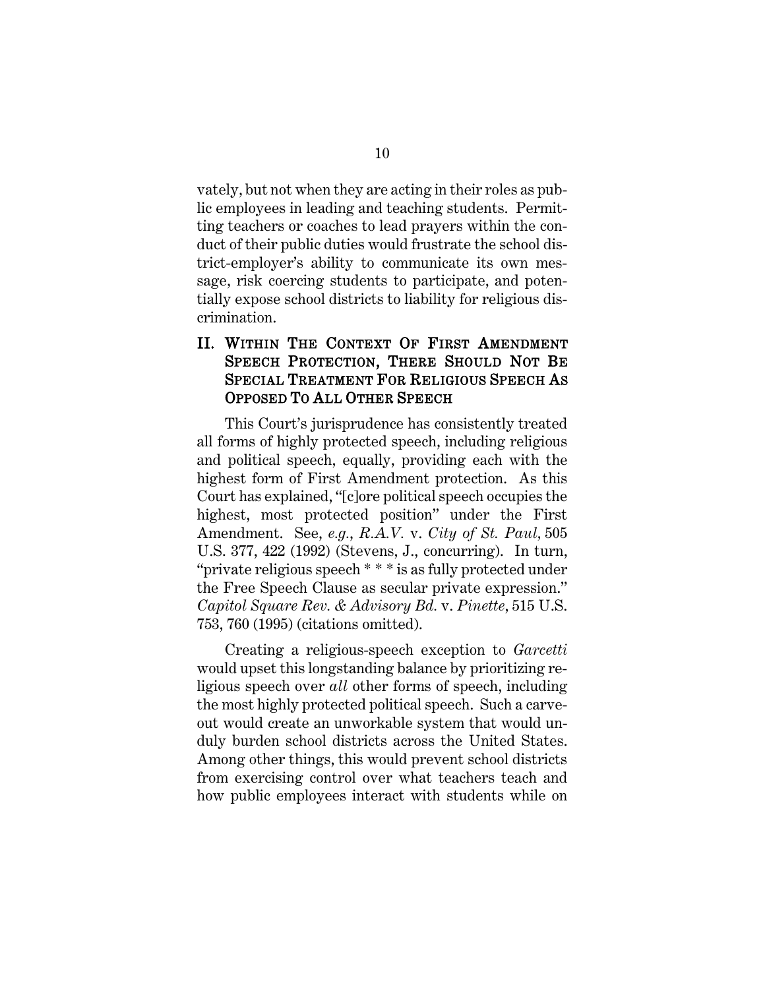vately, but not when they are acting in their roles as public employees in leading and teaching students. Permitting teachers or coaches to lead prayers within the conduct of their public duties would frustrate the school district-employer's ability to communicate its own message, risk coercing students to participate, and potentially expose school districts to liability for religious discrimination.

### <span id="page-17-0"></span>II. WITHIN THE CONTEXT OF FIRST AMENDMENT SPEECH PROTECTION, THERE SHOULD NOT BE SPECIAL TREATMENT FOR RELIGIOUS SPEECH AS OPPOSED TO ALL OTHER SPEECH

<span id="page-17-2"></span>This Court's jurisprudence has consistently treated all forms of highly protected speech, including religious and political speech, equally, providing each with the highest form of First Amendment protection. As this Court has explained, "[c]ore political speech occupies the highest, most protected position" under the First Amendment. See, *e.g.*, *R.A.V.* v. *City of St. Paul,* 505 U.S. 377, 422 (1992) (Stevens, J., concurring). In turn, "private religious speech \* \* \* is as fully protected under the Free Speech Clause as secular private expression." *Capitol Square Rev. & Advisory Bd.* v. *Pinette*, 515 U.S. 753, 760 (1995) (citations omitted).

<span id="page-17-1"></span>Creating a religious-speech exception to *Garcetti* would upset this longstanding balance by prioritizing religious speech over *all* other forms of speech, including the most highly protected political speech. Such a carveout would create an unworkable system that would unduly burden school districts across the United States. Among other things, this would prevent school districts from exercising control over what teachers teach and how public employees interact with students while on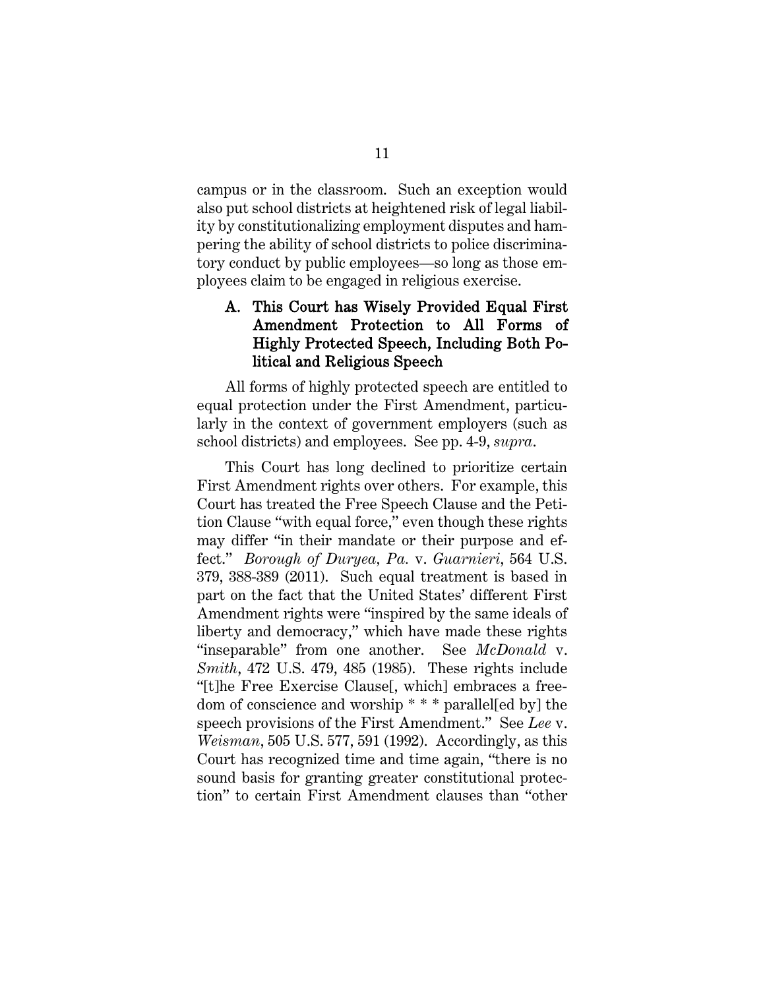campus or in the classroom. Such an exception would also put school districts at heightened risk of legal liability by constitutionalizing employment disputes and hampering the ability of school districts to police discriminatory conduct by public employees—so long as those employees claim to be engaged in religious exercise.

#### <span id="page-18-0"></span>A. This Court has Wisely Provided Equal First Amendment Protection to All Forms of Highly Protected Speech, Including Both Political and Religious Speech

All forms of highly protected speech are entitled to equal protection under the First Amendment, particularly in the context of government employers (such as school districts) and employees. See pp. 4-9, *supra*.

<span id="page-18-3"></span><span id="page-18-2"></span><span id="page-18-1"></span>This Court has long declined to prioritize certain First Amendment rights over others. For example, this Court has treated the Free Speech Clause and the Petition Clause "with equal force," even though these rights may differ "in their mandate or their purpose and effect." *Borough of Duryea, Pa.* v. *Guarnieri*, 564 U.S. 379, 388-389 (2011). Such equal treatment is based in part on the fact that the United States' different First Amendment rights were "inspired by the same ideals of liberty and democracy," which have made these rights "inseparable" from one another. See *McDonald* v. *Smith*, 472 U.S. 479, 485 (1985). These rights include "[t]he Free Exercise Clause[, which] embraces a freedom of conscience and worship \* \* \* parallel[ed by] the speech provisions of the First Amendment." See *Lee* v. *Weisman*, 505 U.S. 577, 591 (1992). Accordingly, as this Court has recognized time and time again, "there is no sound basis for granting greater constitutional protection" to certain First Amendment clauses than "other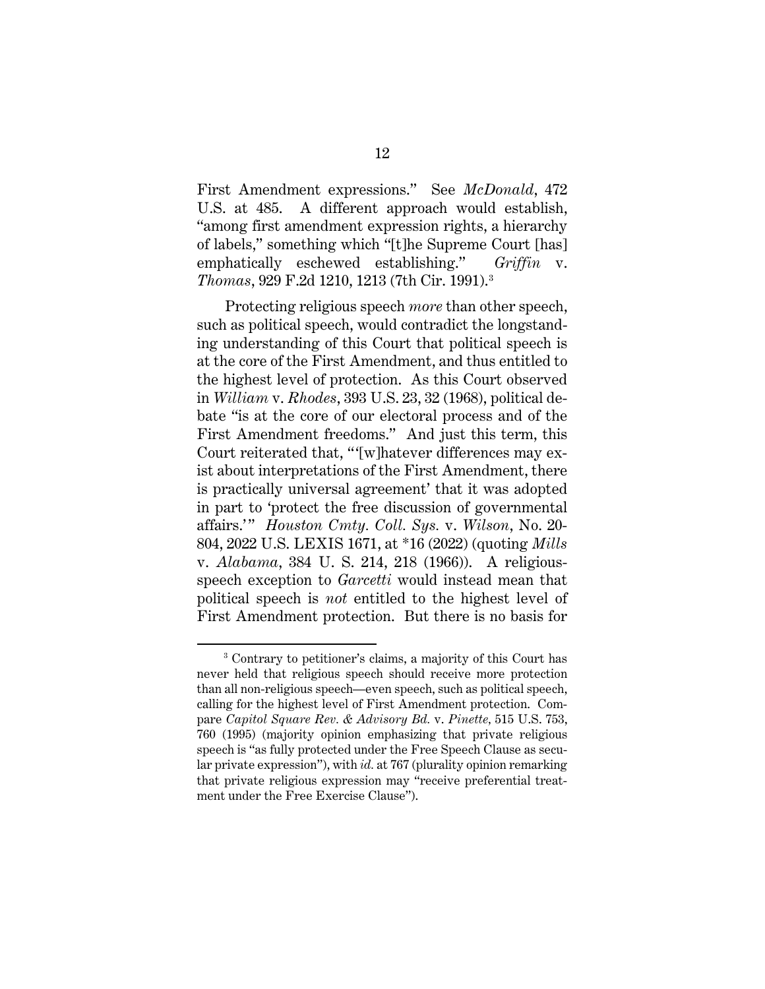<span id="page-19-3"></span>First Amendment expressions." See *McDonald*, 472 U.S. at 485. A different approach would establish, "among first amendment expression rights, a hierarchy of labels," something which "[t]he Supreme Court [has] emphatically eschewed establishing." *Griffin* v. *Thomas*, 929 F.2d 1210, 1213 (7th Cir. 1991).[3](#page-19-5)

<span id="page-19-4"></span><span id="page-19-1"></span>Protecting religious speech *more* than other speech, such as political speech, would contradict the longstanding understanding of this Court that political speech is at the core of the First Amendment, and thus entitled to the highest level of protection. As this Court observed in *William* v. *Rhodes*, 393 U.S. 23, 32 (1968), political debate "is at the core of our electoral process and of the First Amendment freedoms." And just this term, this Court reiterated that, "'[w]hatever differences may exist about interpretations of the First Amendment, there is practically universal agreement' that it was adopted in part to 'protect the free discussion of governmental affairs.' " *Houston Cmty. Coll. Sys.* v. *Wilson*, No. 20- 804, 2022 U.S. LEXIS 1671, at \*16 (2022) (quoting *Mills* v. *Alabama*, 384 U. S. 214, 218 (1966)). A religiousspeech exception to *Garcetti* would instead mean that political speech is *not* entitled to the highest level of First Amendment protection. But there is no basis for

<span id="page-19-5"></span><span id="page-19-2"></span><span id="page-19-0"></span><sup>3</sup> Contrary to petitioner's claims, a majority of this Court has never held that religious speech should receive more protection than all non-religious speech—even speech, such as political speech, calling for the highest level of First Amendment protection. Compare *Capitol Square Rev. & Advisory Bd.* v. *Pinette,* 515 U.S. 753, 760 (1995) (majority opinion emphasizing that private religious speech is "as fully protected under the Free Speech Clause as secular private expression"), with *id.* at 767 (plurality opinion remarking that private religious expression may "receive preferential treatment under the Free Exercise Clause").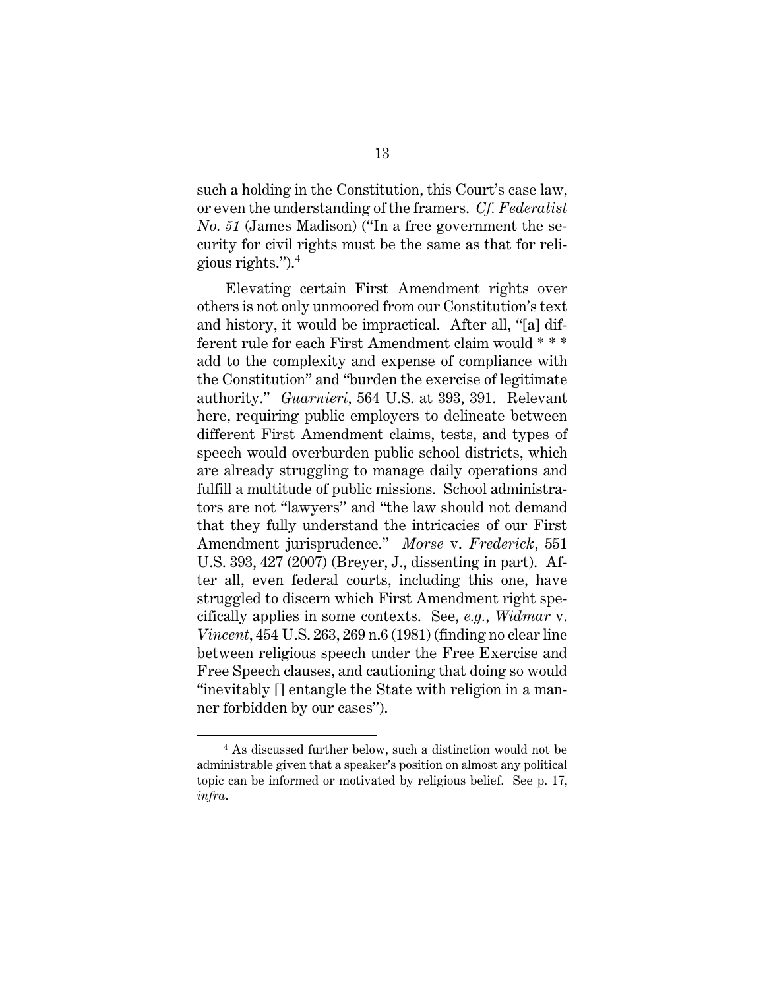such a holding in the Constitution, this Court's case law, or even the understanding of the framers. *Cf. Federalist No. 51* (James Madison) ("In a free government the security for civil rights must be the same as that for religious rights.").[4](#page-20-3)

<span id="page-20-0"></span>Elevating certain First Amendment rights over others is not only unmoored from our Constitution's text and history, it would be impractical. After all, "[a] different rule for each First Amendment claim would \* \* \* add to the complexity and expense of compliance with the Constitution" and "burden the exercise of legitimate authority." *Guarnieri*, 564 U.S. at 393, 391. Relevant here, requiring public employers to delineate between different First Amendment claims, tests, and types of speech would overburden public school districts, which are already struggling to manage daily operations and fulfill a multitude of public missions. School administrators are not "lawyers" and "the law should not demand that they fully understand the intricacies of our First Amendment jurisprudence." *Morse* v. *Frederick*, 551 U.S. 393, 427 (2007) (Breyer, J., dissenting in part). After all, even federal courts, including this one, have struggled to discern which First Amendment right specifically applies in some contexts. See, *e.g.*, *Widmar* v. *Vincent*, 454 U.S. 263, 269 n.6 (1981) (finding no clear line between religious speech under the Free Exercise and Free Speech clauses, and cautioning that doing so would "inevitably [] entangle the State with religion in a manner forbidden by our cases").

<span id="page-20-3"></span><span id="page-20-2"></span><span id="page-20-1"></span><sup>4</sup> As discussed further below, such a distinction would not be administrable given that a speaker's position on almost any political topic can be informed or motivated by religious belief. See p. 17, *infra*.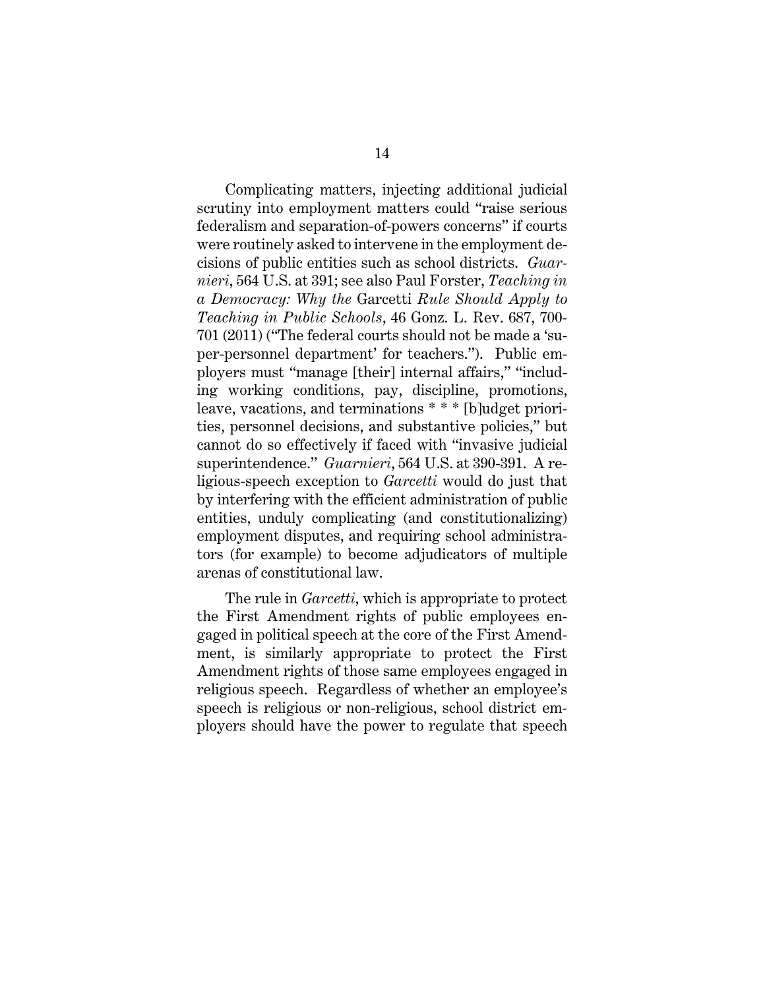<span id="page-21-1"></span><span id="page-21-0"></span>Complicating matters, injecting additional judicial scrutiny into employment matters could "raise serious federalism and separation-of-powers concerns" if courts were routinely asked to intervene in the employment decisions of public entities such as school districts. *Guarnieri*, 564 U.S. at 391; see also Paul Forster, *Teaching in a Democracy: Why the* Garcetti *Rule Should Apply to Teaching in Public Schools*, 46 Gonz. L. Rev. 687, 700- 701 (2011) ("The federal courts should not be made a 'super-personnel department' for teachers."). Public employers must "manage [their] internal affairs," "including working conditions, pay, discipline, promotions, leave, vacations, and terminations \* \* \* [b]udget priorities, personnel decisions, and substantive policies," but cannot do so effectively if faced with "invasive judicial superintendence." *Guarnieri*, 564 U.S. at 390-391. A religious-speech exception to *Garcetti* would do just that by interfering with the efficient administration of public entities, unduly complicating (and constitutionalizing) employment disputes, and requiring school administrators (for example) to become adjudicators of multiple arenas of constitutional law.

The rule in *Garcetti*, which is appropriate to protect the First Amendment rights of public employees engaged in political speech at the core of the First Amendment, is similarly appropriate to protect the First Amendment rights of those same employees engaged in religious speech. Regardless of whether an employee's speech is religious or non-religious, school district employers should have the power to regulate that speech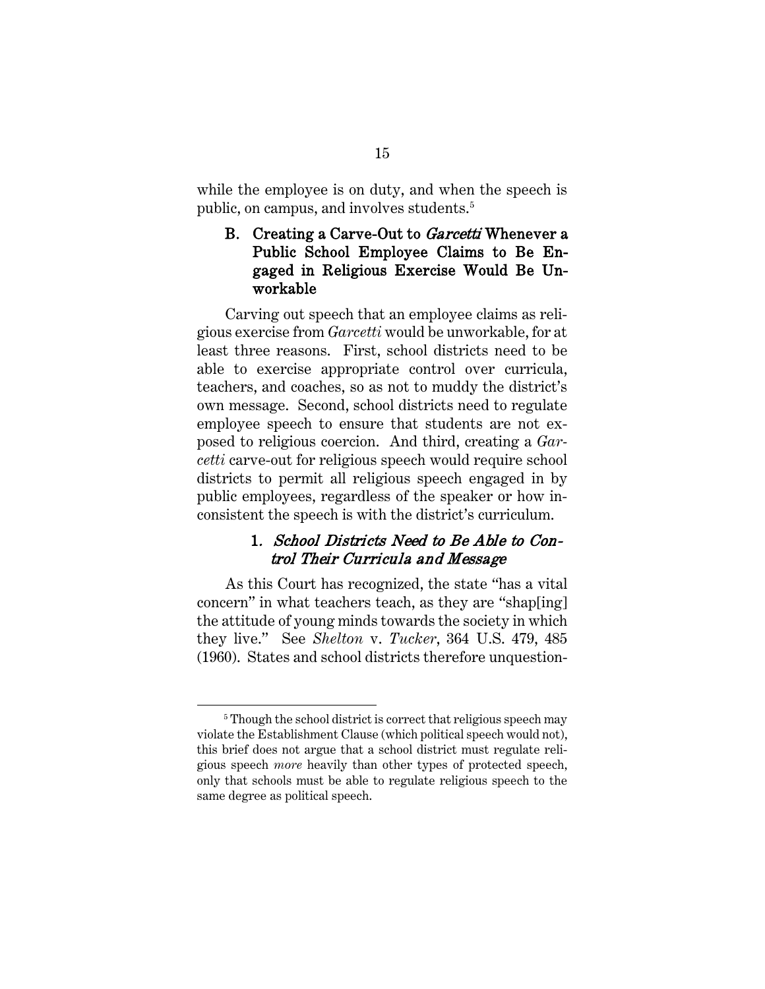while the employee is on duty, and when the speech is public, on campus, and involves students.<sup>[5](#page-22-3)</sup>

### <span id="page-22-0"></span>B. Creating a Carve-Out to Garcetti Whenever a Public School Employee Claims to Be Engaged in Religious Exercise Would Be Unworkable

Carving out speech that an employee claims as religious exercise from *Garcetti* would be unworkable, for at least three reasons. First, school districts need to be able to exercise appropriate control over curricula, teachers, and coaches, so as not to muddy the district's own message. Second, school districts need to regulate employee speech to ensure that students are not exposed to religious coercion. And third, creating a *Garcetti* carve-out for religious speech would require school districts to permit all religious speech engaged in by public employees, regardless of the speaker or how inconsistent the speech is with the district's curriculum.

## <span id="page-22-2"></span>1. School Districts Need to Be Able to Control Their Curricula and Message

<span id="page-22-1"></span>As this Court has recognized, the state "has a vital concern" in what teachers teach, as they are "shap[ing] the attitude of young minds towards the society in which they live." See *Shelton* v. *Tucker*, 364 U.S. 479, 485 (1960). States and school districts therefore unquestion-

<span id="page-22-3"></span><sup>&</sup>lt;sup>5</sup> Though the school district is correct that religious speech may violate the Establishment Clause (which political speech would not), this brief does not argue that a school district must regulate religious speech *more* heavily than other types of protected speech, only that schools must be able to regulate religious speech to the same degree as political speech.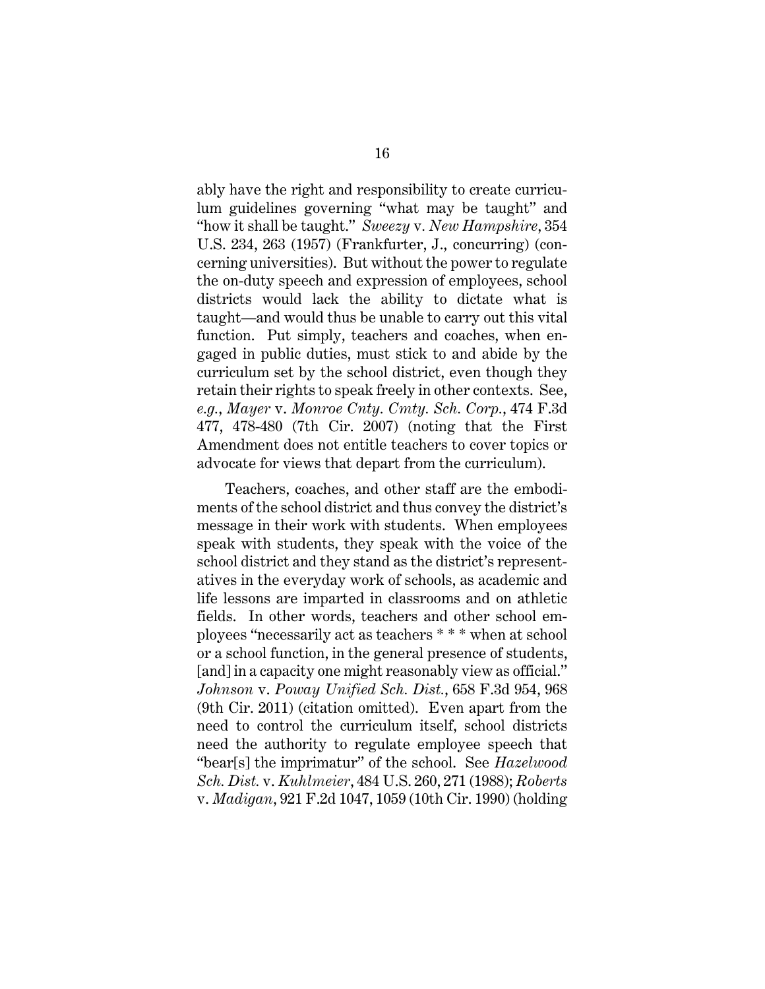<span id="page-23-4"></span>ably have the right and responsibility to create curriculum guidelines governing "what may be taught" and "how it shall be taught." *Sweezy* v*. New Hampshire*, 354 U.S. 234, 263 (1957) (Frankfurter, J., concurring) (concerning universities). But without the power to regulate the on-duty speech and expression of employees, school districts would lack the ability to dictate what is taught—and would thus be unable to carry out this vital function. Put simply, teachers and coaches, when engaged in public duties, must stick to and abide by the curriculum set by the school district, even though they retain their rights to speak freely in other contexts. See, *e.g.*, *Mayer* v. *Monroe Cnty. Cmty. Sch. Corp.*, 474 F.3d 477, 478-480 (7th Cir. 2007) (noting that the First Amendment does not entitle teachers to cover topics or advocate for views that depart from the curriculum).

<span id="page-23-3"></span><span id="page-23-2"></span><span id="page-23-1"></span><span id="page-23-0"></span>Teachers, coaches, and other staff are the embodiments of the school district and thus convey the district's message in their work with students. When employees speak with students, they speak with the voice of the school district and they stand as the district's representatives in the everyday work of schools, as academic and life lessons are imparted in classrooms and on athletic fields. In other words, teachers and other school employees "necessarily act as teachers \* \* \* when at school or a school function, in the general presence of students, [and] in a capacity one might reasonably view as official." *Johnson* v. *Poway Unified Sch. Dist.*, 658 F.3d 954, 968 (9th Cir. 2011) (citation omitted). Even apart from the need to control the curriculum itself, school districts need the authority to regulate employee speech that "bear[s] the imprimatur" of the school. See *Hazelwood Sch. Dist.* v. *Kuhlmeier*, 484 U.S. 260, 271 (1988); *Roberts*  v. *Madigan*, 921 F.2d 1047, 1059 (10th Cir. 1990) (holding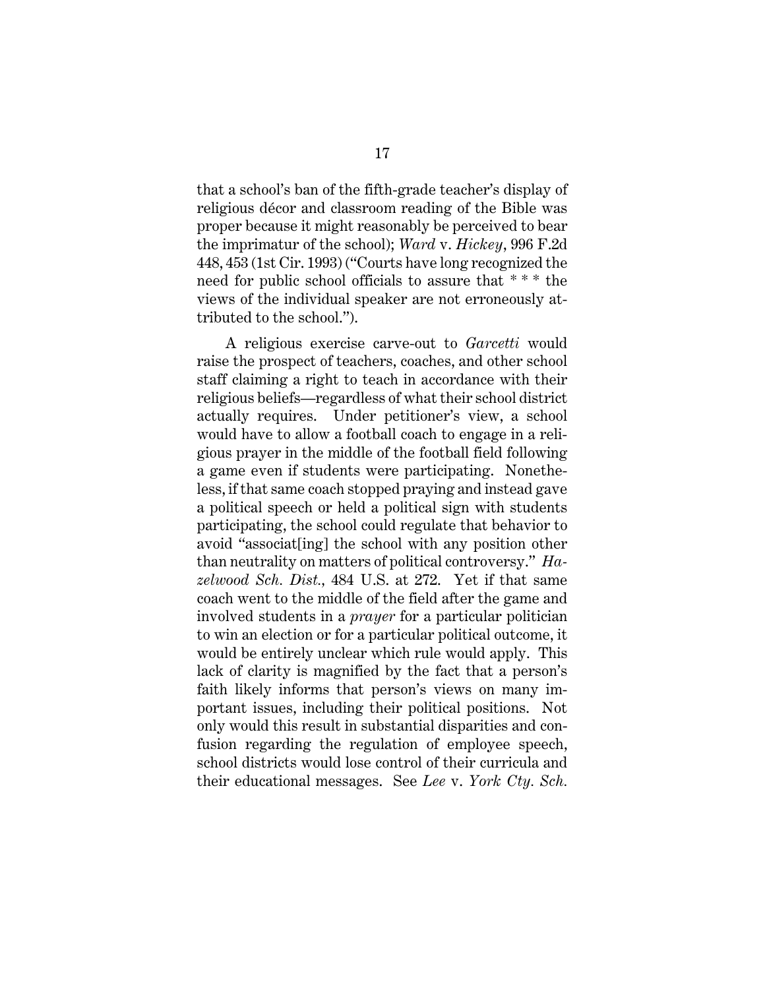<span id="page-24-2"></span>that a school's ban of the fifth-grade teacher's display of religious décor and classroom reading of the Bible was proper because it might reasonably be perceived to bear the imprimatur of the school); *Ward* v. *Hickey*, 996 F.2d 448, 453 (1st Cir. 1993) ("Courts have long recognized the need for public school officials to assure that \* \* \* the views of the individual speaker are not erroneously attributed to the school.").

<span id="page-24-1"></span><span id="page-24-0"></span>A religious exercise carve-out to *Garcetti* would raise the prospect of teachers, coaches, and other school staff claiming a right to teach in accordance with their religious beliefs—regardless of what their school district actually requires. Under petitioner's view, a school would have to allow a football coach to engage in a religious prayer in the middle of the football field following a game even if students were participating. Nonetheless, if that same coach stopped praying and instead gave a political speech or held a political sign with students participating, the school could regulate that behavior to avoid "associat[ing] the school with any position other than neutrality on matters of political controversy." *Hazelwood Sch. Dist.,* 484 U.S. at 272. Yet if that same coach went to the middle of the field after the game and involved students in a *prayer* for a particular politician to win an election or for a particular political outcome, it would be entirely unclear which rule would apply. This lack of clarity is magnified by the fact that a person's faith likely informs that person's views on many important issues, including their political positions. Not only would this result in substantial disparities and confusion regarding the regulation of employee speech, school districts would lose control of their curricula and their educational messages. See *Lee* v. *York Cty. Sch.*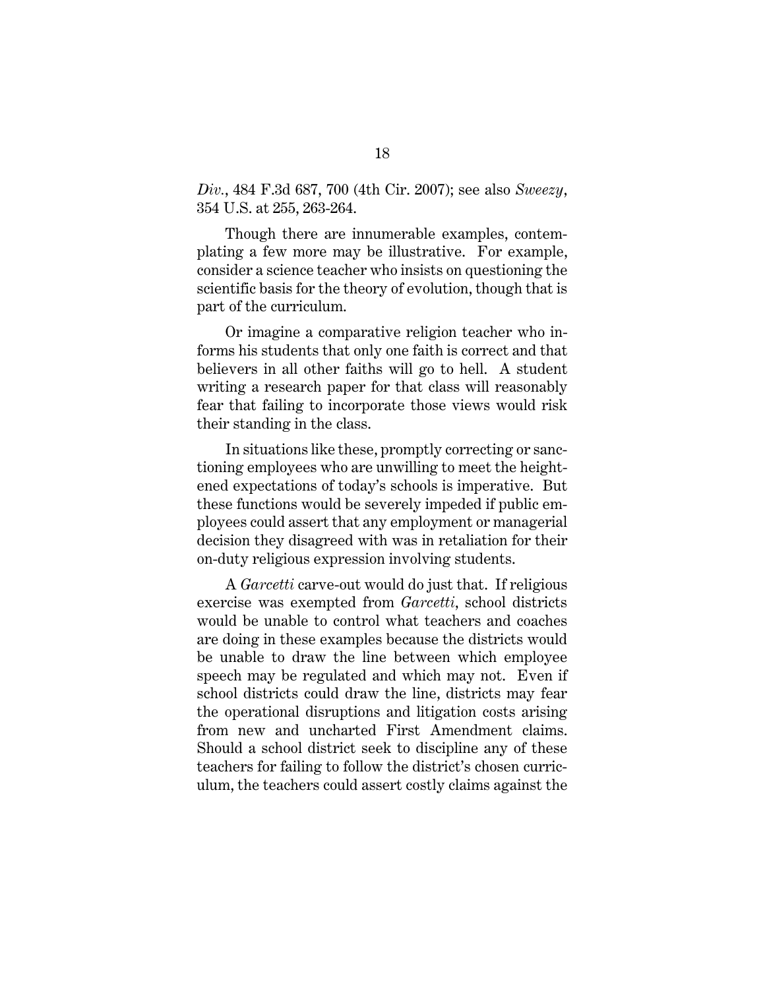<span id="page-25-0"></span>*Div.*, 484 F.3d 687, 700 (4th Cir. 2007); see also *Sweezy*, 354 U.S. at 255, 263-264.

Though there are innumerable examples, contemplating a few more may be illustrative. For example, consider a science teacher who insists on questioning the scientific basis for the theory of evolution, though that is part of the curriculum.

Or imagine a comparative religion teacher who informs his students that only one faith is correct and that believers in all other faiths will go to hell. A student writing a research paper for that class will reasonably fear that failing to incorporate those views would risk their standing in the class.

In situations like these, promptly correcting or sanctioning employees who are unwilling to meet the heightened expectations of today's schools is imperative. But these functions would be severely impeded if public employees could assert that any employment or managerial decision they disagreed with was in retaliation for their on-duty religious expression involving students.

A *Garcetti* carve-out would do just that. If religious exercise was exempted from *Garcetti*, school districts would be unable to control what teachers and coaches are doing in these examples because the districts would be unable to draw the line between which employee speech may be regulated and which may not. Even if school districts could draw the line, districts may fear the operational disruptions and litigation costs arising from new and uncharted First Amendment claims. Should a school district seek to discipline any of these teachers for failing to follow the district's chosen curriculum, the teachers could assert costly claims against the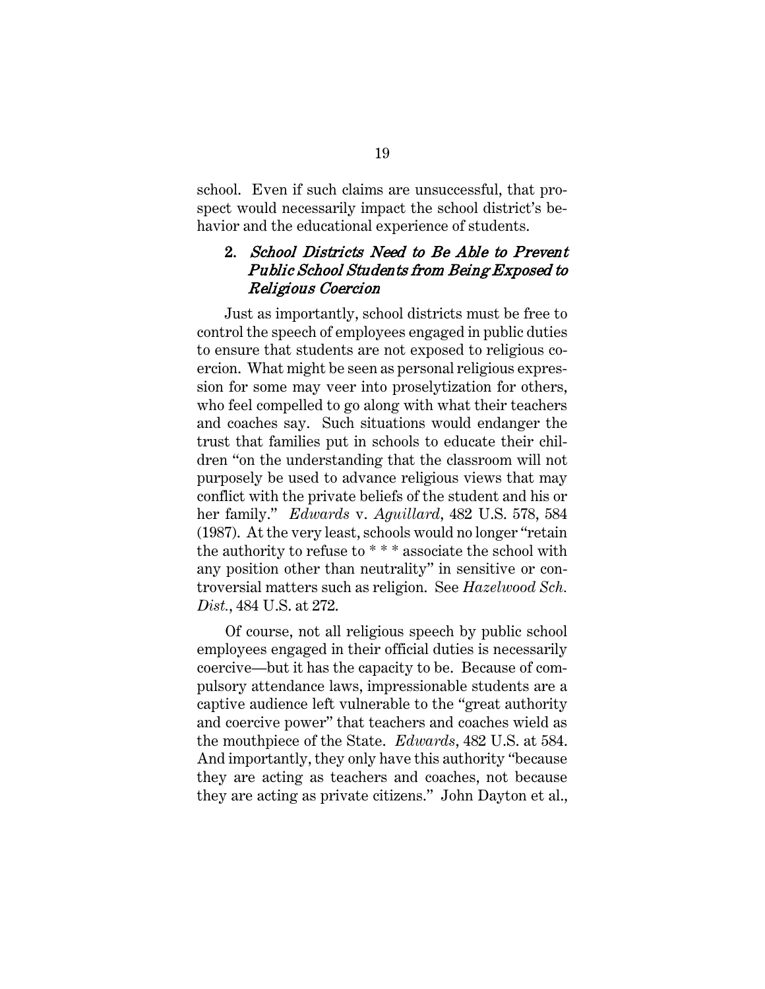school. Even if such claims are unsuccessful, that prospect would necessarily impact the school district's behavior and the educational experience of students.

#### 2. School Districts Need to Be Able to Prevent Public School Students from Being Exposed to Religious Coercion

Just as importantly, school districts must be free to control the speech of employees engaged in public duties to ensure that students are not exposed to religious coercion. What might be seen as personal religious expression for some may veer into proselytization for others, who feel compelled to go along with what their teachers and coaches say. Such situations would endanger the trust that families put in schools to educate their children "on the understanding that the classroom will not purposely be used to advance religious views that may conflict with the private beliefs of the student and his or her family." *Edwards* v. *Aguillard*, 482 U.S. 578, 584 (1987). At the very least, schools would no longer "retain the authority to refuse to \* \* \* associate the school with any position other than neutrality" in sensitive or controversial matters such as religion. See *Hazelwood Sch. Dist.*, 484 U.S. at 272.

<span id="page-26-2"></span><span id="page-26-1"></span><span id="page-26-0"></span>Of course, not all religious speech by public school employees engaged in their official duties is necessarily coercive—but it has the capacity to be. Because of compulsory attendance laws, impressionable students are a captive audience left vulnerable to the "great authority and coercive power" that teachers and coaches wield as the mouthpiece of the State. *Edwards*, 482 U.S. at 584. And importantly, they only have this authority "because they are acting as teachers and coaches, not because they are acting as private citizens." John Dayton et al.,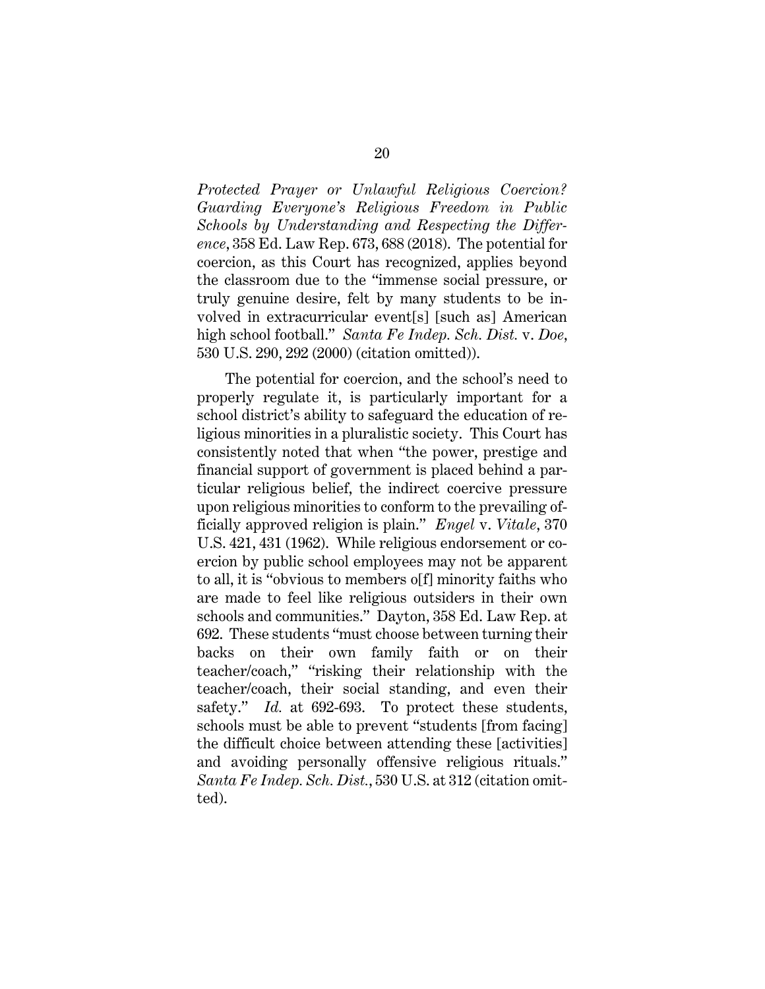*Protected Prayer or Unlawful Religious Coercion? Guarding Everyone's Religious Freedom in Public Schools by Understanding and Respecting the Difference*, 358 Ed. Law Rep. 673, 688 (2018). The potential for coercion, as this Court has recognized, applies beyond the classroom due to the "immense social pressure, or truly genuine desire, felt by many students to be involved in extracurricular event[s] [such as] American high school football." *Santa Fe Indep. Sch. Dist.* v. *Doe*, 530 U.S. 290, 292 (2000) (citation omitted)).

<span id="page-27-2"></span><span id="page-27-1"></span><span id="page-27-0"></span>The potential for coercion, and the school's need to properly regulate it, is particularly important for a school district's ability to safeguard the education of religious minorities in a pluralistic society. This Court has consistently noted that when "the power, prestige and financial support of government is placed behind a particular religious belief, the indirect coercive pressure upon religious minorities to conform to the prevailing officially approved religion is plain." *Engel* v. *Vitale*, 370 U.S. 421, 431 (1962). While religious endorsement or coercion by public school employees may not be apparent to all, it is "obvious to members o[f] minority faiths who are made to feel like religious outsiders in their own schools and communities." Dayton, 358 Ed. Law Rep. at 692. These students "must choose between turning their backs on their own family faith or on their teacher/coach," "risking their relationship with the teacher/coach, their social standing, and even their safety." *Id.* at 692-693. To protect these students, schools must be able to prevent "students [from facing] the difficult choice between attending these [activities] and avoiding personally offensive religious rituals." *Santa Fe Indep. Sch. Dist.*, 530 U.S. at 312 (citation omitted).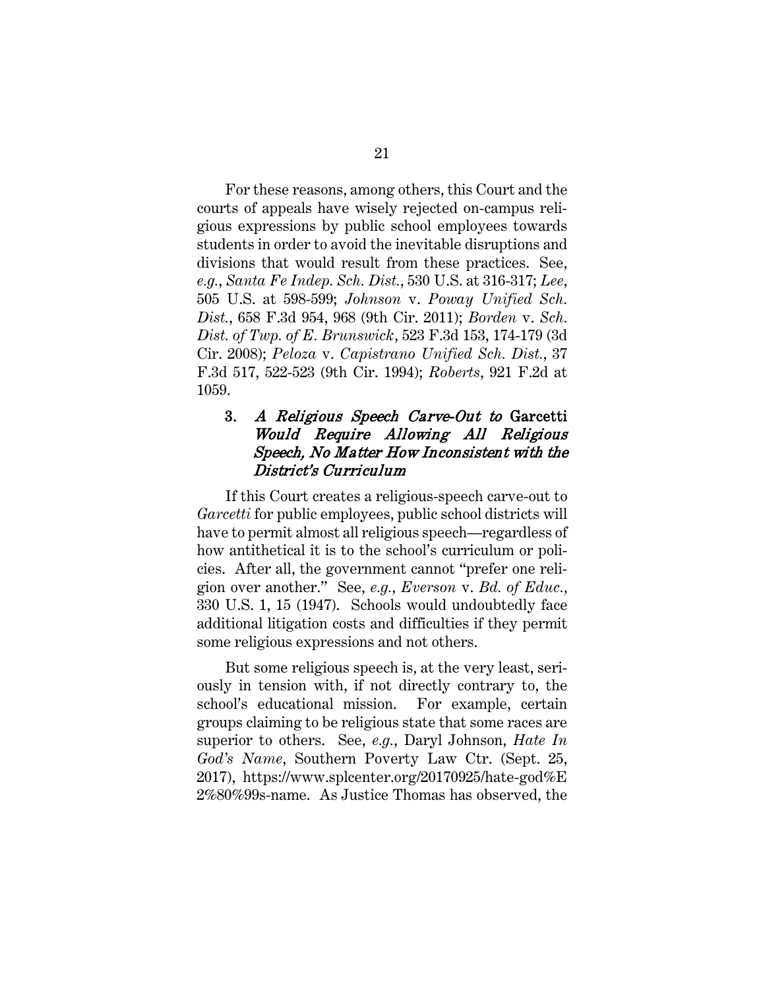For these reasons, among others, this Court and the courts of appeals have wisely rejected on-campus religious expressions by public school employees towards students in order to avoid the inevitable disruptions and divisions that would result from these practices. See, *e.g.*, *Santa Fe Indep. Sch. Dist.*, 530 U.S. at 316-317; *Lee*, 505 U.S. at 598-599; *Johnson* v. *Poway Unified Sch. Dist.*, 658 F.3d 954, 968 (9th Cir. 2011); *Borden* v. *Sch. Dist. of Twp. of E. Brunswick*, 523 F.3d 153, 174-179 (3d Cir. 2008); *Peloza* v. *Capistrano Unified Sch. Dist.*, 37 F.3d 517, 522-523 (9th Cir. 1994); *Roberts*, 921 F.2d at 1059.

#### <span id="page-28-5"></span><span id="page-28-4"></span><span id="page-28-3"></span><span id="page-28-2"></span><span id="page-28-0"></span>3. A Religious Speech Carve-Out to Garcetti Would Require Allowing All Religious Speech, No Matter How Inconsistent with the District's Curriculum

If this Court creates a religious-speech carve-out to *Garcetti* for public employees, public school districts will have to permit almost all religious speech—regardless of how antithetical it is to the school's curriculum or policies. After all, the government cannot "prefer one religion over another." See, *e.g.*, *Everson* v. *Bd. of Educ.*, 330 U.S. 1, 15 (1947). Schools would undoubtedly face additional litigation costs and difficulties if they permit some religious expressions and not others.

<span id="page-28-6"></span><span id="page-28-1"></span>But some religious speech is, at the very least, seriously in tension with, if not directly contrary to, the school's educational mission. For example, certain groups claiming to be religious state that some races are superior to others. See, *e.g.*, Daryl Johnson, *Hate In God's Name*, Southern Poverty Law Ctr. (Sept. 25, 2017), https://www.splcenter.org/20170925/hate-god%E 2%80%99s-name. As Justice Thomas has observed, the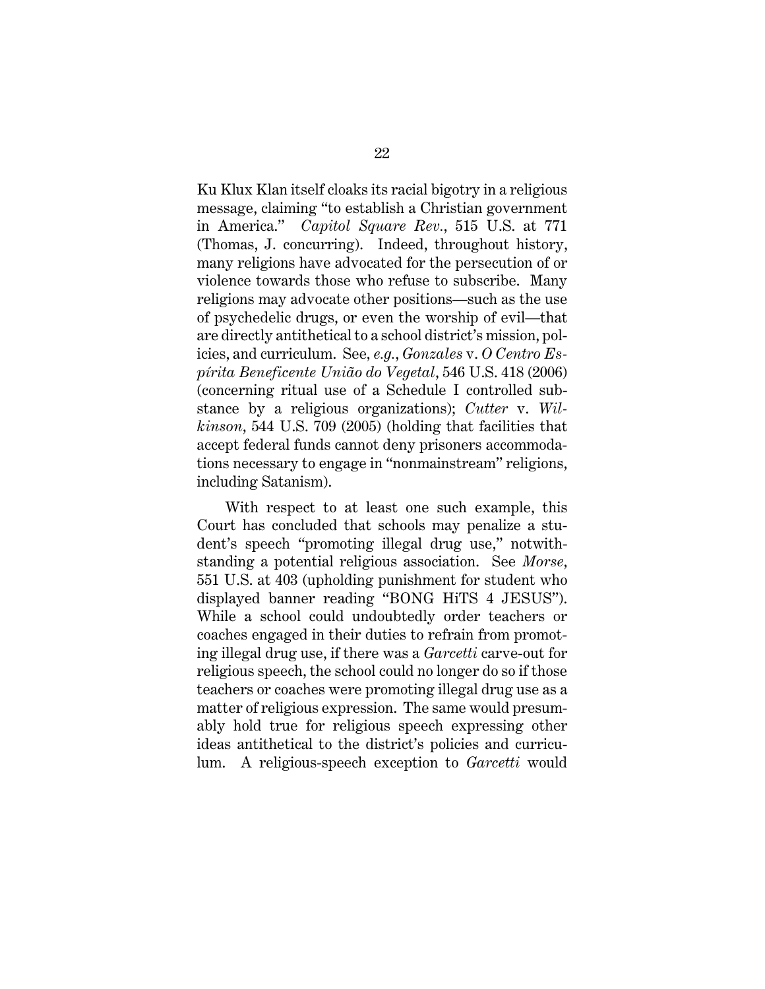<span id="page-29-0"></span>Ku Klux Klan itself cloaks its racial bigotry in a religious message, claiming "to establish a Christian government in America." *Capitol Square Rev.*, 515 U.S. at 771 (Thomas, J. concurring). Indeed, throughout history, many religions have advocated for the persecution of or violence towards those who refuse to subscribe. Many religions may advocate other positions—such as the use of psychedelic drugs, or even the worship of evil—that are directly antithetical to a school district's mission, policies, and curriculum. See*, e.g.*, *Gonzales* v. *O Centro Espírita Beneficente União do Vegetal*, 546 U.S. 418 (2006) (concerning ritual use of a Schedule I controlled substance by a religious organizations); *Cutter* v. *Wilkinson*, 544 U.S. 709 (2005) (holding that facilities that accept federal funds cannot deny prisoners accommodations necessary to engage in "nonmainstream" religions, including Satanism).

<span id="page-29-3"></span><span id="page-29-2"></span><span id="page-29-1"></span>With respect to at least one such example, this Court has concluded that schools may penalize a student's speech "promoting illegal drug use," notwithstanding a potential religious association. See *Morse*, 551 U.S. at 403 (upholding punishment for student who displayed banner reading "BONG HiTS 4 JESUS"). While a school could undoubtedly order teachers or coaches engaged in their duties to refrain from promoting illegal drug use, if there was a *Garcetti* carve-out for religious speech, the school could no longer do so if those teachers or coaches were promoting illegal drug use as a matter of religious expression. The same would presumably hold true for religious speech expressing other ideas antithetical to the district's policies and curriculum. A religious-speech exception to *Garcetti* would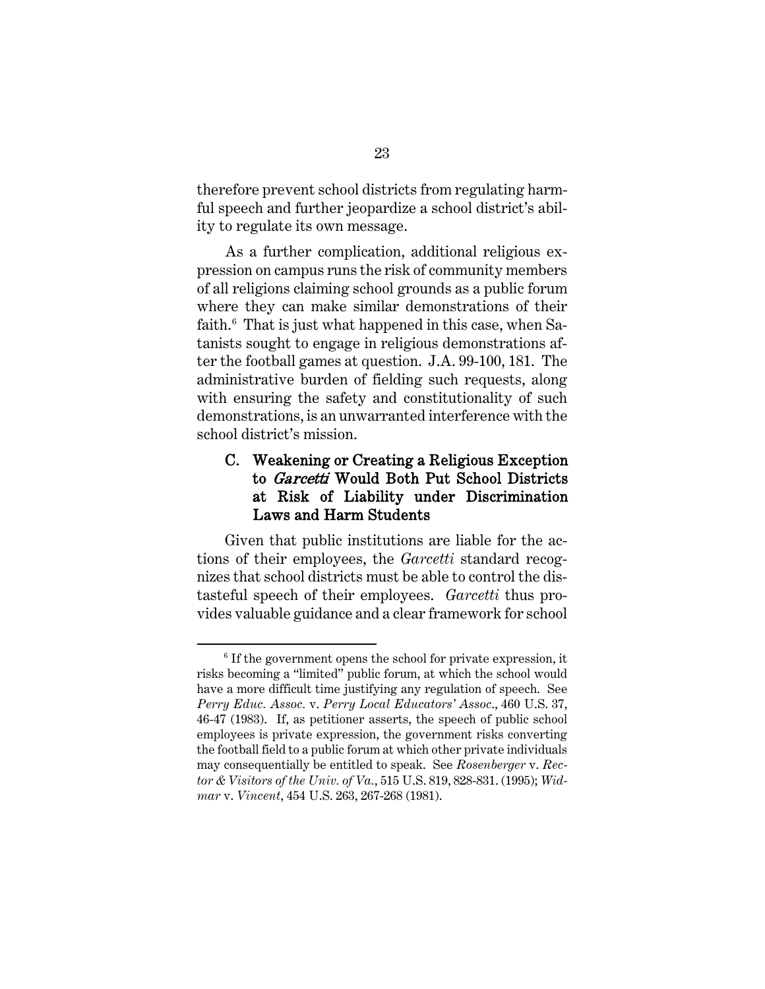therefore prevent school districts from regulating harmful speech and further jeopardize a school district's ability to regulate its own message.

As a further complication, additional religious expression on campus runs the risk of community members of all religions claiming school grounds as a public forum where they can make similar demonstrations of their faith.[6](#page-30-4) That is just what happened in this case, when Satanists sought to engage in religious demonstrations after the football games at question. J.A. 99-100, 181. The administrative burden of fielding such requests, along with ensuring the safety and constitutionality of such demonstrations, is an unwarranted interference with the school district's mission.

## <span id="page-30-0"></span>C. Weakening or Creating a Religious Exception to *Garcetti* Would Both Put School Districts at Risk of Liability under Discrimination Laws and Harm Students

Given that public institutions are liable for the actions of their employees, the *Garcetti* standard recognizes that school districts must be able to control the distasteful speech of their employees. *Garcetti* thus provides valuable guidance and a clear framework for school

<span id="page-30-4"></span><span id="page-30-3"></span><span id="page-30-2"></span><span id="page-30-1"></span> $6$  If the government opens the school for private expression, it risks becoming a "limited" public forum, at which the school would have a more difficult time justifying any regulation of speech. See *Perry Educ. Assoc.* v. *Perry Local Educators' Assoc*., 460 U.S. 37, 46-47 (1983). If, as petitioner asserts, the speech of public school employees is private expression, the government risks converting the football field to a public forum at which other private individuals may consequentially be entitled to speak. See *Rosenberger* v. *Rector & Visitors of the Univ. of Va.*, 515 U.S. 819, 828-831. (1995); *Widmar* v. *Vincent*, 454 U.S. 263, 267-268 (1981).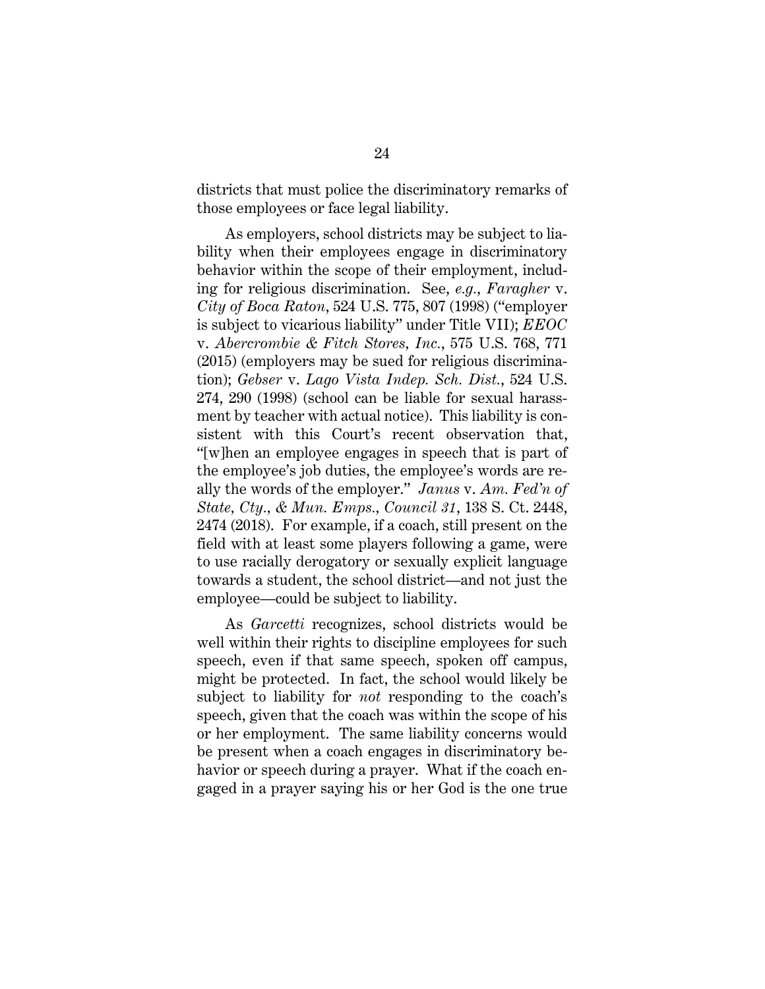districts that must police the discriminatory remarks of those employees or face legal liability.

<span id="page-31-2"></span><span id="page-31-1"></span><span id="page-31-0"></span>As employers, school districts may be subject to liability when their employees engage in discriminatory behavior within the scope of their employment, including for religious discrimination. See, *e.g.*, *Faragher* v. *City of Boca Raton*, 524 U.S. 775, 807 (1998) ("employer is subject to vicarious liability" under Title VII); *EEOC*  v. *Abercrombie & Fitch Stores, Inc.*, 575 U.S. 768, 771 (2015) (employers may be sued for religious discrimination); *Gebser* v. *Lago Vista Indep. Sch. Dist.*, 524 U.S. 274, 290 (1998) (school can be liable for sexual harassment by teacher with actual notice). This liability is consistent with this Court's recent observation that, "[w]hen an employee engages in speech that is part of the employee's job duties, the employee's words are really the words of the employer." *Janus* v. *Am. Fed'n of State, Cty., & Mun. Emps., Council 31*, 138 S. Ct. 2448, 2474 (2018). For example, if a coach, still present on the field with at least some players following a game, were to use racially derogatory or sexually explicit language towards a student, the school district—and not just the employee—could be subject to liability.

<span id="page-31-3"></span>As *Garcetti* recognizes, school districts would be well within their rights to discipline employees for such speech, even if that same speech, spoken off campus, might be protected. In fact, the school would likely be subject to liability for *not* responding to the coach's speech, given that the coach was within the scope of his or her employment. The same liability concerns would be present when a coach engages in discriminatory behavior or speech during a prayer. What if the coach engaged in a prayer saying his or her God is the one true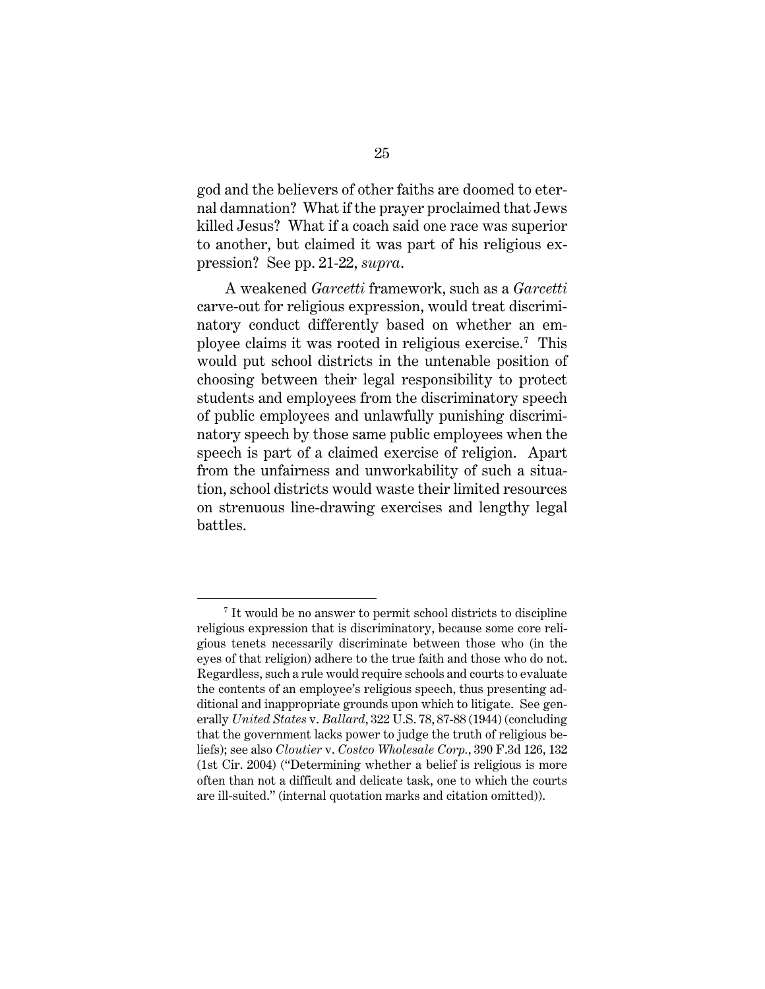god and the believers of other faiths are doomed to eternal damnation? What if the prayer proclaimed that Jews killed Jesus? What if a coach said one race was superior to another, but claimed it was part of his religious expression? See pp. 21-22, *supra*.

A weakened *Garcetti* framework, such as a *Garcetti* carve-out for religious expression, would treat discriminatory conduct differently based on whether an employee claims it was rooted in religious exercise.[7](#page-32-2) This would put school districts in the untenable position of choosing between their legal responsibility to protect students and employees from the discriminatory speech of public employees and unlawfully punishing discriminatory speech by those same public employees when the speech is part of a claimed exercise of religion. Apart from the unfairness and unworkability of such a situation, school districts would waste their limited resources on strenuous line-drawing exercises and lengthy legal battles.

<span id="page-32-2"></span><span id="page-32-1"></span><span id="page-32-0"></span><sup>7</sup> It would be no answer to permit school districts to discipline religious expression that is discriminatory, because some core religious tenets necessarily discriminate between those who (in the eyes of that religion) adhere to the true faith and those who do not. Regardless, such a rule would require schools and courts to evaluate the contents of an employee's religious speech, thus presenting additional and inappropriate grounds upon which to litigate. See generally *United States* v. *Ballard*, 322 U.S. 78, 87-88 (1944) (concluding that the government lacks power to judge the truth of religious beliefs); see also *Cloutier* v. *Costco Wholesale Corp.*, 390 F.3d 126, 132 (1st Cir. 2004) ("Determining whether a belief is religious is more often than not a difficult and delicate task, one to which the courts are ill-suited." (internal quotation marks and citation omitted)).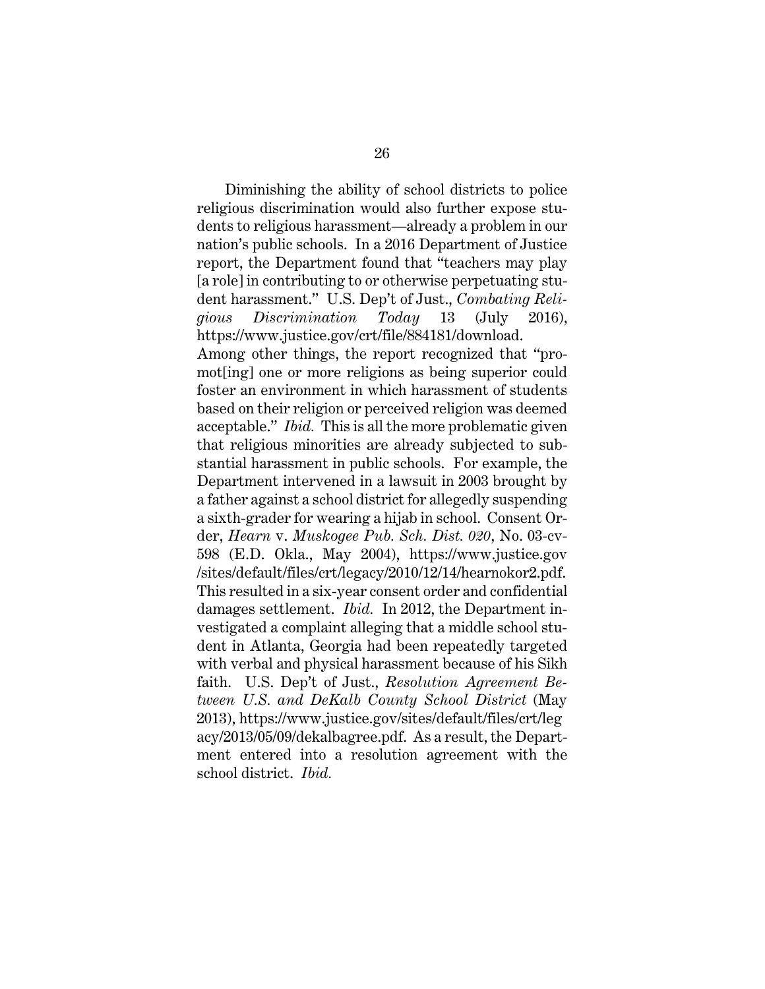<span id="page-33-0"></span>Diminishing the ability of school districts to police religious discrimination would also further expose students to religious harassment—already a problem in our nation's public schools. In a 2016 Department of Justice report, the Department found that "teachers may play [a role] in contributing to or otherwise perpetuating student harassment." U.S. Dep't of Just., *Combating Religious Discrimination Today* 13 (July 2016), https://www.justice.gov/crt/file/884181/download. Among other things, the report recognized that "promot[ing] one or more religions as being superior could foster an environment in which harassment of students based on their religion or perceived religion was deemed acceptable." *Ibid.* This is all the more problematic given that religious minorities are already subjected to substantial harassment in public schools. For example, the Department intervened in a lawsuit in 2003 brought by a father against a school district for allegedly suspending a sixth-grader for wearing a hijab in school. Consent Or-

<span id="page-33-1"></span>der, *Hearn* v. *Muskogee Pub. Sch. Dist. 020*, No. 03-cv-598 (E.D. Okla., May 2004), https://www.justice.gov /sites/default/files/crt/legacy/2010/12/14/hearnokor2.pdf. This resulted in a six-year consent order and confidential damages settlement. *Ibid.* In 2012, the Department investigated a complaint alleging that a middle school student in Atlanta, Georgia had been repeatedly targeted with verbal and physical harassment because of his Sikh faith. U.S. Dep't of Just., *Resolution Agreement Between U.S. and DeKalb County School District* (May 2013), https://www.justice.gov/sites/default/files/crt/leg acy/2013/05/09/dekalbagree.pdf. As a result, the Department entered into a resolution agreement with the school district. *Ibid.*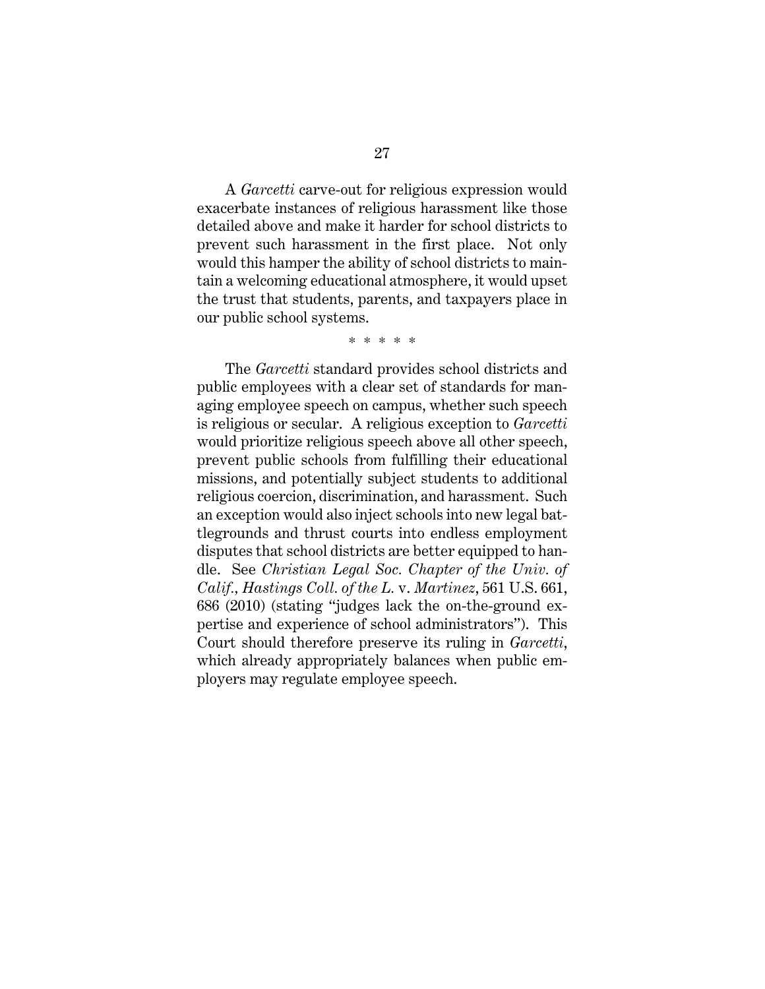A *Garcetti* carve-out for religious expression would exacerbate instances of religious harassment like those detailed above and make it harder for school districts to prevent such harassment in the first place. Not only would this hamper the ability of school districts to maintain a welcoming educational atmosphere, it would upset the trust that students, parents, and taxpayers place in our public school systems.

#### \* \* \* \* \*

<span id="page-34-0"></span>The *Garcetti* standard provides school districts and public employees with a clear set of standards for managing employee speech on campus, whether such speech is religious or secular. A religious exception to *Garcetti* would prioritize religious speech above all other speech, prevent public schools from fulfilling their educational missions, and potentially subject students to additional religious coercion, discrimination, and harassment. Such an exception would also inject schools into new legal battlegrounds and thrust courts into endless employment disputes that school districts are better equipped to handle. See *Christian Legal Soc. Chapter of the Univ. of Calif., Hastings Coll. of the L.* v. *Martinez*, 561 U.S. 661, 686 (2010) (stating "judges lack the on-the-ground expertise and experience of school administrators"). This Court should therefore preserve its ruling in *Garcetti*, which already appropriately balances when public employers may regulate employee speech.